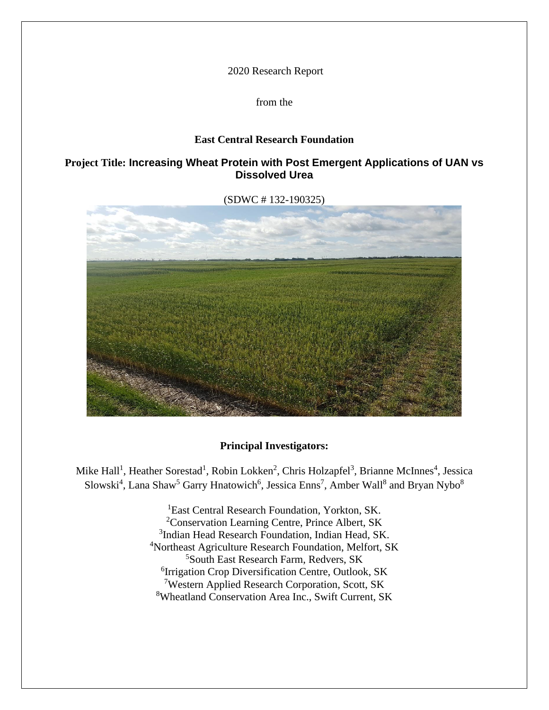2020 Research Report

from the

## **East Central Research Foundation**

# **Project Title: Increasing Wheat Protein with Post Emergent Applications of UAN vs Dissolved Urea**

(SDWC # 132-190325)



## **Principal Investigators:**

Mike Hall<sup>1</sup>, Heather Sorestad<sup>1</sup>, Robin Lokken<sup>2</sup>, Chris Holzapfel<sup>3</sup>, Brianne McInnes<sup>4</sup>, Jessica Slowski<sup>4</sup>, Lana Shaw<sup>5</sup> Garry Hnatowich<sup>6</sup>, Jessica Enns<sup>7</sup>, Amber Wall<sup>8</sup> and Bryan Nybo<sup>8</sup>

> <sup>1</sup>East Central Research Foundation, Yorkton, SK. Conservation Learning Centre, Prince Albert, SK <sup>3</sup>Indian Head Research Foundation, Indian Head, SK. Northeast Agriculture Research Foundation, Melfort, SK South East Research Farm, Redvers, SK Irrigation Crop Diversification Centre, Outlook, SK Western Applied Research Corporation, Scott, SK Wheatland Conservation Area Inc., Swift Current, SK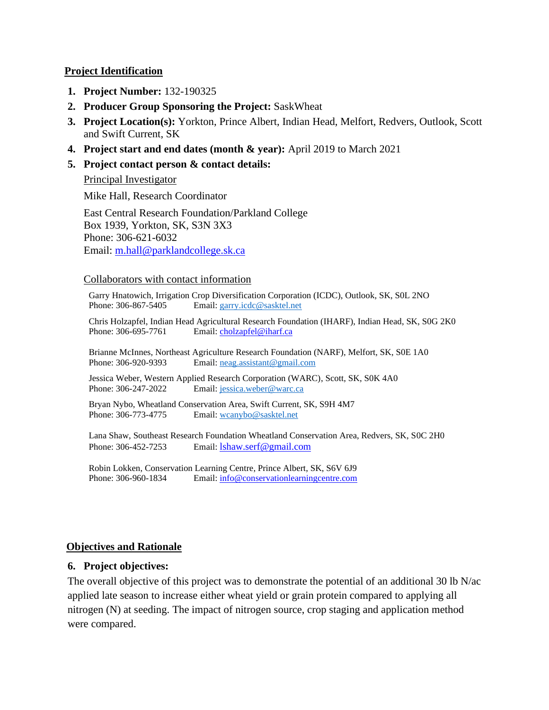## **Project Identification**

- **1. Project Number:** 132-190325
- **2. Producer Group Sponsoring the Project:** SaskWheat
- **3. Project Location(s):** Yorkton, Prince Albert, Indian Head, Melfort, Redvers, Outlook, Scott and Swift Current, SK
- **4. Project start and end dates (month & year):** April 2019 to March 2021
- **5. Project contact person & contact details:**

## Principal Investigator

Mike Hall, Research Coordinator

East Central Research Foundation/Parkland College Box 1939, Yorkton, SK, S3N 3X3 Phone: 306-621-6032 Email: [m.hall@parklandcollege.sk.ca](mailto:m.hall@parklandcollege.sk.ca)

#### Collaborators with contact information

Garry Hnatowich, Irrigation Crop Diversification Corporation (ICDC), Outlook, SK, S0L 2NO Phone: 306-867-5405 Email: [garry.icdc@sasktel.net](mailto:garry.icdc@sasktel.net)

Chris Holzapfel, Indian Head Agricultural Research Foundation (IHARF), Indian Head, SK, S0G 2K0 Phone: 306-695-7761 Email: [cholzapfel@iharf.ca](mailto:cholzapfel@iharf.ca)

Brianne McInnes, Northeast Agriculture Research Foundation (NARF), Melfort, SK, S0E 1A0 Phone: 306-920-9393 Email: [neag.assistant@gmail.com](mailto:neag.assistant@gmail.com)

Jessica Weber, Western Applied Research Corporation (WARC), Scott, SK, S0K 4A0 Phone: 306-247-2022 Email: [jessica.weber@warc.ca](mailto:jessica.weber@warc.ca)

Bryan Nybo, Wheatland Conservation Area, Swift Current, SK, S9H 4M7 Phone: 306-773-4775 Email: [wcanybo@sasktel.net](mailto:wcanybo@sasktel.net)

Lana Shaw, Southeast Research Foundation Wheatland Conservation Area, Redvers, SK, S0C 2H0 Phone: 306-452-7253 Email: [lshaw.serf@gmail.com](mailto:lshaw.serf@gmail.com)

Robin Lokken, Conservation Learning Centre, Prince Albert, SK, S6V 6J9 Phone: 306-960-1834 Email: [info@conservationlearningcentre.com](mailto:info@conservationlearningcentre.com)

## **Objectives and Rationale**

## **6. Project objectives:**

The overall objective of this project was to demonstrate the potential of an additional 30 lb N/ac applied late season to increase either wheat yield or grain protein compared to applying all nitrogen (N) at seeding. The impact of nitrogen source, crop staging and application method were compared.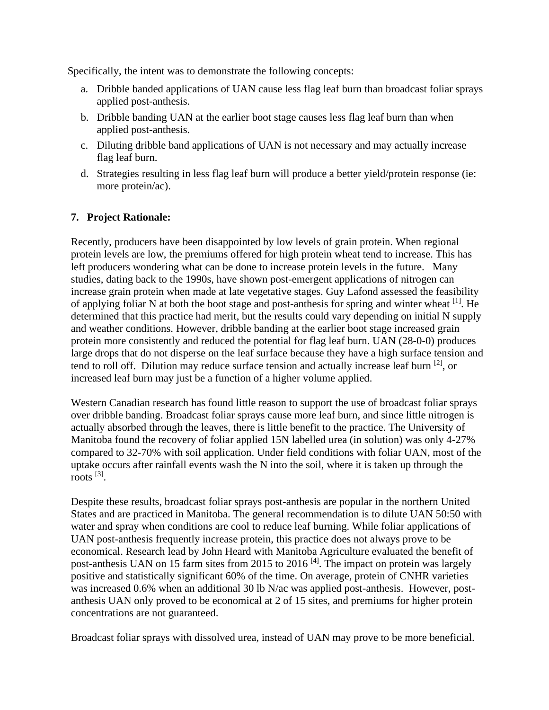Specifically, the intent was to demonstrate the following concepts:

- a. Dribble banded applications of UAN cause less flag leaf burn than broadcast foliar sprays applied post-anthesis.
- b. Dribble banding UAN at the earlier boot stage causes less flag leaf burn than when applied post-anthesis.
- c. Diluting dribble band applications of UAN is not necessary and may actually increase flag leaf burn.
- d. Strategies resulting in less flag leaf burn will produce a better yield/protein response (ie: more protein/ac).

# **7. Project Rationale:**

Recently, producers have been disappointed by low levels of grain protein. When regional protein levels are low, the premiums offered for high protein wheat tend to increase. This has left producers wondering what can be done to increase protein levels in the future. Many studies, dating back to the 1990s, have shown post-emergent applications of nitrogen can increase grain protein when made at late vegetative stages. Guy Lafond assessed the feasibility of applying foliar N at both the boot stage and post-anthesis for spring and winter wheat  $^{[1]}$ . He determined that this practice had merit, but the results could vary depending on initial N supply and weather conditions. However, dribble banding at the earlier boot stage increased grain protein more consistently and reduced the potential for flag leaf burn. UAN (28-0-0) produces large drops that do not disperse on the leaf surface because they have a high surface tension and tend to roll off. Dilution may reduce surface tension and actually increase leaf burn [2], or increased leaf burn may just be a function of a higher volume applied.

Western Canadian research has found little reason to support the use of broadcast foliar sprays over dribble banding. Broadcast foliar sprays cause more leaf burn, and since little nitrogen is actually absorbed through the leaves, there is little benefit to the practice. The University of Manitoba found the recovery of foliar applied 15N labelled urea (in solution) was only 4-27% compared to 32-70% with soil application. Under field conditions with foliar UAN, most of the uptake occurs after rainfall events wash the N into the soil, where it is taken up through the roots [3] .

Despite these results, broadcast foliar sprays post-anthesis are popular in the northern United States and are practiced in Manitoba. The general recommendation is to dilute UAN 50:50 with water and spray when conditions are cool to reduce leaf burning. While foliar applications of UAN post-anthesis frequently increase protein, this practice does not always prove to be economical. Research lead by John Heard with Manitoba Agriculture evaluated the benefit of post-anthesis UAN on 15 farm sites from 2015 to 2016<sup>[4]</sup>. The impact on protein was largely positive and statistically significant 60% of the time. On average, protein of CNHR varieties was increased 0.6% when an additional 30 lb N/ac was applied post-anthesis. However, postanthesis UAN only proved to be economical at 2 of 15 sites, and premiums for higher protein concentrations are not guaranteed.

Broadcast foliar sprays with dissolved urea, instead of UAN may prove to be more beneficial.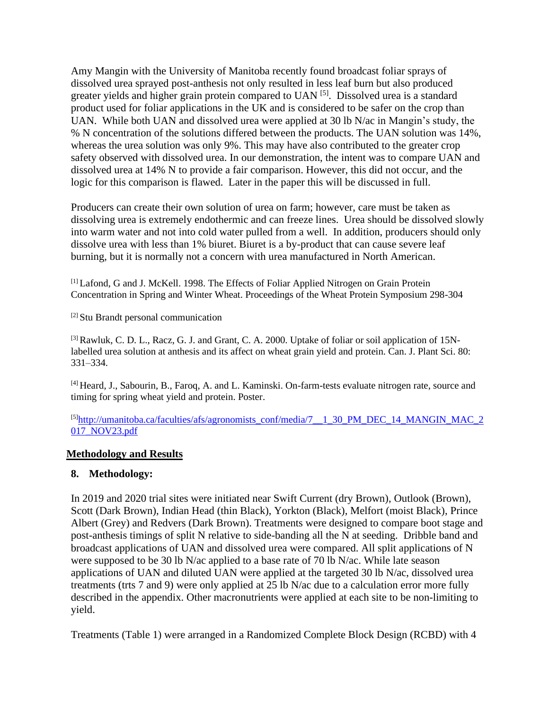Amy Mangin with the University of Manitoba recently found broadcast foliar sprays of dissolved urea sprayed post-anthesis not only resulted in less leaf burn but also produced greater yields and higher grain protein compared to UAN<sup>[5]</sup>. Dissolved urea is a standard product used for foliar applications in the UK and is considered to be safer on the crop than UAN. While both UAN and dissolved urea were applied at 30 lb N/ac in Mangin's study, the % N concentration of the solutions differed between the products. The UAN solution was 14%, whereas the urea solution was only 9%. This may have also contributed to the greater crop safety observed with dissolved urea. In our demonstration, the intent was to compare UAN and dissolved urea at 14% N to provide a fair comparison. However, this did not occur, and the logic for this comparison is flawed. Later in the paper this will be discussed in full.

Producers can create their own solution of urea on farm; however, care must be taken as dissolving urea is extremely endothermic and can freeze lines. Urea should be dissolved slowly into warm water and not into cold water pulled from a well. In addition, producers should only dissolve urea with less than 1% biuret. Biuret is a by-product that can cause severe leaf burning, but it is normally not a concern with urea manufactured in North American.

[1] Lafond, G and J. McKell. 1998. The Effects of Foliar Applied Nitrogen on Grain Protein Concentration in Spring and Winter Wheat. Proceedings of the Wheat Protein Symposium 298-304

[2] Stu Brandt personal communication

[3] Rawluk, C. D. L., Racz, G. J. and Grant, C. A. 2000. Uptake of foliar or soil application of 15Nlabelled urea solution at anthesis and its affect on wheat grain yield and protein. Can. J. Plant Sci. 80: 331–334.

[4] Heard, J., Sabourin, B., Faroq, A. and L. Kaminski. On-farm-tests evaluate nitrogen rate, source and timing for spring wheat yield and protein. Poster.

 $[5]$ http://umanitoba.ca/faculties/afs/agronomists\_conf/media/7  $\pm$  1\_30\_PM\_DEC\_14\_MANGIN\_MAC\_2 [017\\_NOV23.pdf](http://umanitoba.ca/faculties/afs/agronomists_conf/media/7__1_30_PM_DEC_14_MANGIN_MAC_2017_NOV23.pdf)

## **Methodology and Results**

## **8. Methodology:**

In 2019 and 2020 trial sites were initiated near Swift Current (dry Brown), Outlook (Brown), Scott (Dark Brown), Indian Head (thin Black), Yorkton (Black), Melfort (moist Black), Prince Albert (Grey) and Redvers (Dark Brown). Treatments were designed to compare boot stage and post-anthesis timings of split N relative to side-banding all the N at seeding. Dribble band and broadcast applications of UAN and dissolved urea were compared. All split applications of N were supposed to be 30 lb N/ac applied to a base rate of 70 lb N/ac. While late season applications of UAN and diluted UAN were applied at the targeted 30 lb N/ac, dissolved urea treatments (trts 7 and 9) were only applied at 25 lb N/ac due to a calculation error more fully described in the appendix. Other macronutrients were applied at each site to be non-limiting to yield.

Treatments (Table 1) were arranged in a Randomized Complete Block Design (RCBD) with 4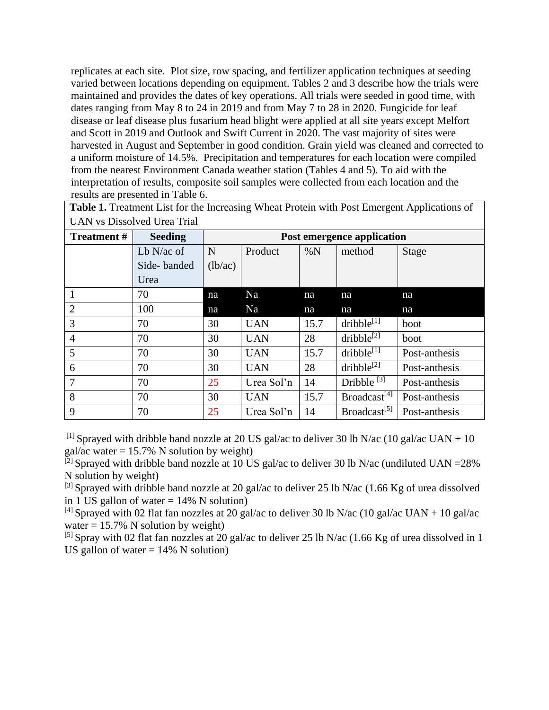replicates at each site. Plot size, row spacing, and fertilizer application techniques at seeding varied between locations depending on equipment. Tables 2 and 3 describe how the trials were maintained and provides the dates of key operations. All trials were seeded in good time, with dates ranging from May 8 to 24 in 2019 and from May 7 to 28 in 2020. Fungicide for leaf disease or leaf disease plus fusarium head blight were applied at all site years except Melfort and Scott in 2019 and Outlook and Swift Current in 2020. The vast majority of sites were harvested in August and September in good condition. Grain yield was cleaned and corrected to a uniform moisture of 14.5%. Precipitation and temperatures for each location were compiled from the nearest Environment Canada weather station (Tables 4 and 5). To aid with the interpretation of results, composite soil samples were collected from each location and the results are presented in Table 6.

**Table 1.** Treatment List for the Increasing Wheat Protein with Post Emergent Applications of UAN vs Dissolved Urea Trial

| <b>Treatment#</b> | <b>Seeding</b> |         |            |      | Post emergence application |               |
|-------------------|----------------|---------|------------|------|----------------------------|---------------|
|                   | $Lb$ N/ac of   | N       | Product    | %N   | method                     | Stage         |
|                   | Side-banded    | (lb/ac) |            |      |                            |               |
|                   | Urea           |         |            |      |                            |               |
|                   | 70             | na      | Na         | na   | na                         | na            |
| $\overline{2}$    | 100            | na      | Na         | na   | na                         | na            |
| 3                 | 70             | 30      | <b>UAN</b> | 15.7 | dribble <sup>[1]</sup>     | boot          |
| $\overline{4}$    | 70             | 30      | <b>UAN</b> | 28   | dribble <sup>[2]</sup>     | boot          |
| 5                 | 70             | 30      | <b>UAN</b> | 15.7 | dribble <sup>[1]</sup>     | Post-anthesis |
| 6                 | 70             | 30      | <b>UAN</b> | 28   | $dribble^{[2]}$            | Post-anthesis |
| 7                 | 70             | 25      | Urea Sol'n | 14   | Dribble $[3]$              | Post-anthesis |
| 8                 | 70             | 30      | <b>UAN</b> | 15.7 | Broadcast <sup>[4]</sup>   | Post-anthesis |
| 9                 | 70             | 25      | Urea Sol'n | 14   | Broadcast <sup>[5]</sup>   | Post-anthesis |

<sup>[1]</sup> Sprayed with dribble band nozzle at 20 US gal/ac to deliver 30 lb N/ac (10 gal/ac UAN + 10) gal/ac water =  $15.7\%$  N solution by weight)

 $^{[2]}$  Sprayed with dribble band nozzle at 10 US gal/ac to deliver 30 lb N/ac (undiluted UAN = 28%) N solution by weight)

 $^{[3]}$  Sprayed with dribble band nozzle at 20 gal/ac to deliver 25 lb N/ac (1.66 Kg of urea dissolved in 1 US gallon of water  $= 14\%$  N solution)

<sup>[4]</sup> Sprayed with 02 flat fan nozzles at 20 gal/ac to deliver 30 lb N/ac (10 gal/ac UAN + 10 gal/ac water  $= 15.7\%$  N solution by weight)

[5] Spray with 02 flat fan nozzles at 20 gal/ac to deliver 25 lb N/ac (1.66 Kg of urea dissolved in 1 US gallon of water  $= 14\%$  N solution)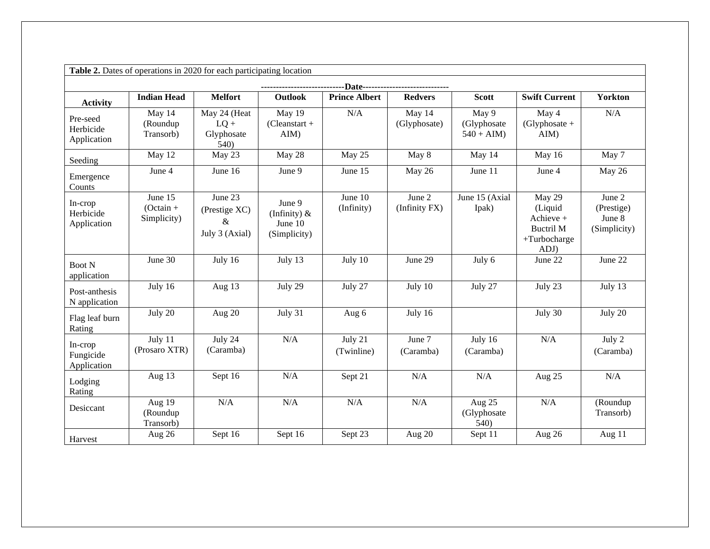|                                      | Table 2. Dates of operations in 2020 for each participating location |                                                 |                                                      |                       |                         |                                     |                                                                            |                                                |
|--------------------------------------|----------------------------------------------------------------------|-------------------------------------------------|------------------------------------------------------|-----------------------|-------------------------|-------------------------------------|----------------------------------------------------------------------------|------------------------------------------------|
|                                      |                                                                      |                                                 |                                                      |                       |                         |                                     |                                                                            |                                                |
| <b>Activity</b>                      | <b>Indian Head</b>                                                   | <b>Melfort</b>                                  | <b>Outlook</b>                                       | <b>Prince Albert</b>  | <b>Redvers</b>          | <b>Scott</b>                        | <b>Swift Current</b>                                                       | <b>Yorkton</b>                                 |
| Pre-seed<br>Herbicide<br>Application | May 14<br>(Roundup<br>Transorb)                                      | May 24 (Heat<br>$LQ +$<br>Glyphosate<br>540)    | May 19<br>$(Cleanstart +$<br>AIM)                    | N/A                   | May 14<br>(Glyphosate)  | May 9<br>(Glyphosate<br>$540 + AIM$ | May 4<br>$(Glyphosate +$<br>AIM)                                           | N/A                                            |
| Seeding                              | May 12                                                               | May 23                                          | May 28                                               | May 25                | May 8                   | May 14                              | May 16                                                                     | May 7                                          |
| Emergence<br>Counts                  | June 4                                                               | June 16                                         | June 9                                               | June 15               | May 26                  | June 11                             | June 4                                                                     | May 26                                         |
| In-crop<br>Herbicide<br>Application  | June 15<br>$(Octain +$<br>Simplicity)                                | June 23<br>(Prestige XC)<br>&<br>July 3 (Axial) | June 9<br>(Infinity) $\&$<br>June 10<br>(Simplicity) | June 10<br>(Infinity) | June 2<br>(Infinity FX) | June 15 (Axial<br>Ipak)             | May 29<br>(Liquid<br>Achieve +<br><b>Buctril M</b><br>+Turbocharge<br>ADJ) | June 2<br>(Prestige)<br>June 8<br>(Simplicity) |
| <b>Boot N</b><br>application         | June 30                                                              | July 16                                         | July 13                                              | July 10               | June 29                 | July 6                              | June 22                                                                    | June 22                                        |
| Post-anthesis<br>N application       | July 16                                                              | Aug 13                                          | July 29                                              | July 27               | July 10                 | July 27                             | July 23                                                                    | July 13                                        |
| Flag leaf burn<br>Rating             | July 20                                                              | Aug 20                                          | July 31                                              | Aug 6                 | July 16                 |                                     | July 30                                                                    | July 20                                        |
| In-crop<br>Fungicide<br>Application  | July 11<br>(Prosaro XTR)                                             | July 24<br>(Caramba)                            | N/A                                                  | July 21<br>(Twinline) | June 7<br>(Caramba)     | July 16<br>(Caramba)                | N/A                                                                        | July 2<br>(Caramba)                            |
| Lodging<br>Rating                    | Aug 13                                                               | Sept 16                                         | N/A                                                  | Sept 21               | N/A                     | N/A                                 | Aug 25                                                                     | N/A                                            |
| Desiccant                            | Aug 19<br>(Roundup<br>Transorb)                                      | N/A                                             | N/A                                                  | N/A                   | N/A                     | Aug 25<br>(Glyphosate<br>540)       | N/A                                                                        | (Roundup<br>Transorb)                          |
| Harvest                              | Aug 26                                                               | Sept 16                                         | Sept 16                                              | Sept 23               | Aug 20                  | Sept 11                             | Aug 26                                                                     | Aug 11                                         |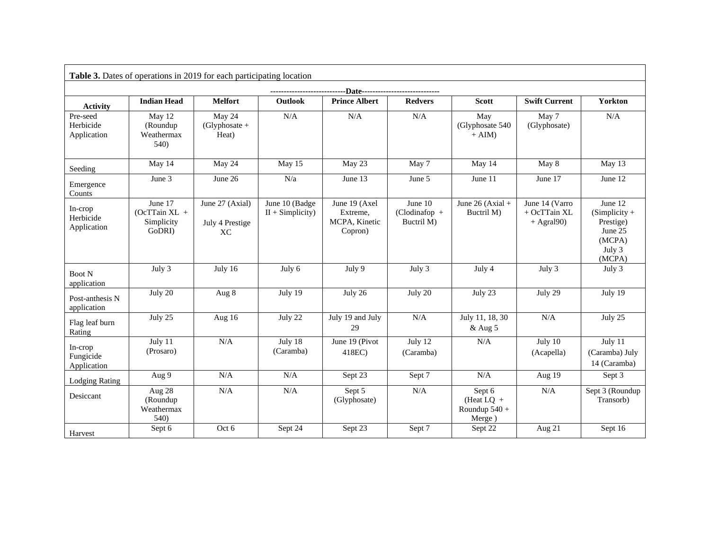|                                      | <b>Table 3.</b> Dates of operations in 2019 for each participating location |                                          |                                      |                                                       |                                           |                                                     |                                                      |                                                                                  |
|--------------------------------------|-----------------------------------------------------------------------------|------------------------------------------|--------------------------------------|-------------------------------------------------------|-------------------------------------------|-----------------------------------------------------|------------------------------------------------------|----------------------------------------------------------------------------------|
|                                      |                                                                             |                                          |                                      | --Date------------------                              |                                           |                                                     |                                                      |                                                                                  |
| <b>Activity</b>                      | <b>Indian Head</b>                                                          | <b>Melfort</b>                           | <b>Outlook</b>                       | <b>Prince Albert</b>                                  | <b>Redvers</b>                            | <b>Scott</b>                                        | <b>Swift Current</b>                                 | <b>Yorkton</b>                                                                   |
| Pre-seed<br>Herbicide<br>Application | May 12<br>(Roundup<br>Weathermax<br>540)                                    | May 24<br>$(Glyphosate +$<br>Heat)       | N/A                                  | N/A                                                   | N/A                                       | May<br>(Glyphosate 540<br>$+ AIM$                   | May 7<br>(Glyphosate)                                | N/A                                                                              |
| Seeding                              | May 14                                                                      | May 24                                   | May 15                               | May 23                                                | May 7                                     | May 14                                              | May 8                                                | May 13                                                                           |
| Emergence<br>Counts                  | June 3                                                                      | June 26                                  | N/a                                  | June 13                                               | June 5                                    | June 11                                             | June 17                                              | June 12                                                                          |
| In-crop<br>Herbicide<br>Application  | June 17<br>$(OcTTain XL +$<br>Simplicity<br>GoDRI)                          | June 27 (Axial)<br>July 4 Prestige<br>XC | June 10 (Badge<br>$II + Simplicity)$ | June 19 (Axel<br>Extreme.<br>MCPA, Kinetic<br>Copron) | June 10<br>$(Clodina fop +$<br>Buctril M) | June 26 (Axial +<br>Buctril M)                      | June 14 (Varro<br>$+$ OcTTain XL<br>$+$ Agral $90$ ) | June $12$<br>$(Simplify +$<br>Prestige)<br>June 25<br>(MCPA)<br>July 3<br>(MCPA) |
| <b>Boot N</b><br>application         | July 3                                                                      | July 16                                  | July 6                               | July 9                                                | July 3                                    | July 4                                              | July 3                                               | July 3                                                                           |
| Post-anthesis N<br>application       | July 20                                                                     | Aug 8                                    | July 19                              | July 26                                               | July 20                                   | July 23                                             | July 29                                              | July 19                                                                          |
| Flag leaf burn<br>Rating             | July 25                                                                     | Aug 16                                   | July 22                              | July 19 and July<br>29                                | N/A                                       | July 11, 18, 30<br>& Aug 5                          | N/A                                                  | July 25                                                                          |
| In-crop<br>Fungicide<br>Application  | July 11<br>(Prosaro)                                                        | N/A                                      | July 18<br>(Caramba)                 | June 19 (Pivot<br>418EC)                              | July 12<br>(Caramba)                      | $\rm N/A$                                           | July 10<br>(Acapella)                                | July 11<br>(Caramba) July<br>14 (Caramba)                                        |
| <b>Lodging Rating</b>                | Aug 9                                                                       | N/A                                      | N/A                                  | Sept 23                                               | Sept 7                                    | N/A                                                 | Aug 19                                               | Sept 3                                                                           |
| Desiccant                            | Aug 28<br>(Roundup<br>Weathermax<br>540)                                    | N/A                                      | N/A                                  | Sept 5<br>(Glyphosate)                                | N/A                                       | Sept 6<br>(Heat $LQ +$<br>Roundup $540 +$<br>Merge) | $\rm N/A$                                            | Sept 3 (Roundup<br>Transorb)                                                     |
| Harvest                              | Sept 6                                                                      | Oct 6                                    | Sept 24                              | Sept 23                                               | Sept 7                                    | Sept 22                                             | Aug $21$                                             | Sept 16                                                                          |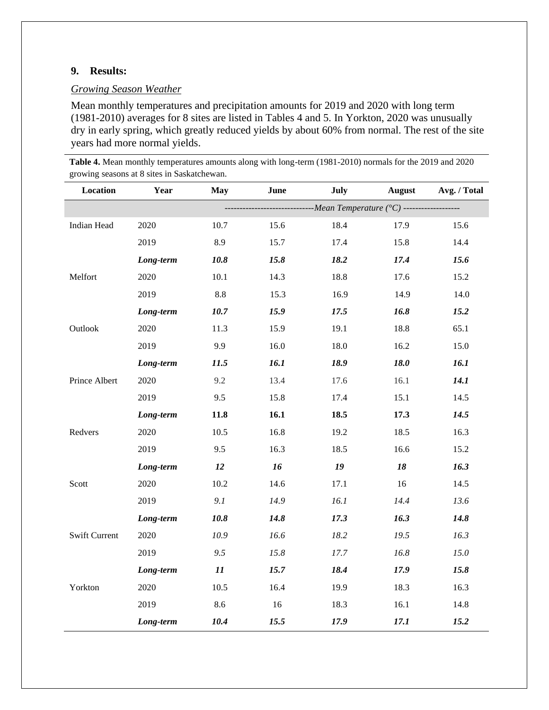### **9. Results:**

## *Growing Season Weather*

Mean monthly temperatures and precipitation amounts for 2019 and 2020 with long term (1981-2010) averages for 8 sites are listed in Tables 4 and 5. In Yorkton, 2020 was unusually dry in early spring, which greatly reduced yields by about 60% from normal. The rest of the site years had more normal yields.

**Table 4.** Mean monthly temperatures amounts along with long-term (1981-2010) normals for the 2019 and 2020 growing seasons at 8 sites in Saskatchewan.

| Location             | Year      | <b>May</b> | June | July                                                              | <b>August</b> | Avg. / Total |
|----------------------|-----------|------------|------|-------------------------------------------------------------------|---------------|--------------|
|                      |           |            |      | --------------- <i>Mean Temperature</i> (°C) -------------------- |               |              |
| Indian Head          | 2020      | 10.7       | 15.6 | 18.4                                                              | 17.9          | 15.6         |
|                      | 2019      | 8.9        | 15.7 | 17.4                                                              | 15.8          | 14.4         |
|                      | Long-term | 10.8       | 15.8 | 18.2                                                              | 17.4          | 15.6         |
| Melfort              | 2020      | 10.1       | 14.3 | 18.8                                                              | 17.6          | 15.2         |
|                      | 2019      | $8.8\,$    | 15.3 | 16.9                                                              | 14.9          | 14.0         |
|                      | Long-term | 10.7       | 15.9 | 17.5                                                              | 16.8          | 15.2         |
| Outlook              | 2020      | 11.3       | 15.9 | 19.1                                                              | 18.8          | 65.1         |
|                      | 2019      | 9.9        | 16.0 | 18.0                                                              | 16.2          | 15.0         |
|                      | Long-term | 11.5       | 16.1 | 18.9                                                              | 18.0          | 16.1         |
| Prince Albert        | 2020      | 9.2        | 13.4 | 17.6                                                              | 16.1          | 14.1         |
|                      | 2019      | 9.5        | 15.8 | 17.4                                                              | 15.1          | 14.5         |
|                      | Long-term | 11.8       | 16.1 | 18.5                                                              | 17.3          | 14.5         |
| Redvers              | 2020      | 10.5       | 16.8 | 19.2                                                              | 18.5          | 16.3         |
|                      | 2019      | 9.5        | 16.3 | 18.5                                                              | 16.6          | 15.2         |
|                      | Long-term | 12         | 16   | 19                                                                | 18            | 16.3         |
| Scott                | 2020      | 10.2       | 14.6 | 17.1                                                              | 16            | 14.5         |
|                      | 2019      | 9.1        | 14.9 | 16.1                                                              | 14.4          | 13.6         |
|                      | Long-term | 10.8       | 14.8 | 17.3                                                              | 16.3          | 14.8         |
| <b>Swift Current</b> | 2020      | 10.9       | 16.6 | 18.2                                                              | 19.5          | 16.3         |
|                      | 2019      | 9.5        | 15.8 | 17.7                                                              | 16.8          | 15.0         |
|                      | Long-term | 11         | 15.7 | 18.4                                                              | 17.9          | 15.8         |
| Yorkton              | 2020      | 10.5       | 16.4 | 19.9                                                              | 18.3          | 16.3         |
|                      | 2019      | 8.6        | 16   | 18.3                                                              | 16.1          | 14.8         |
|                      | Long-term | 10.4       | 15.5 | 17.9                                                              | 17.1          | 15.2         |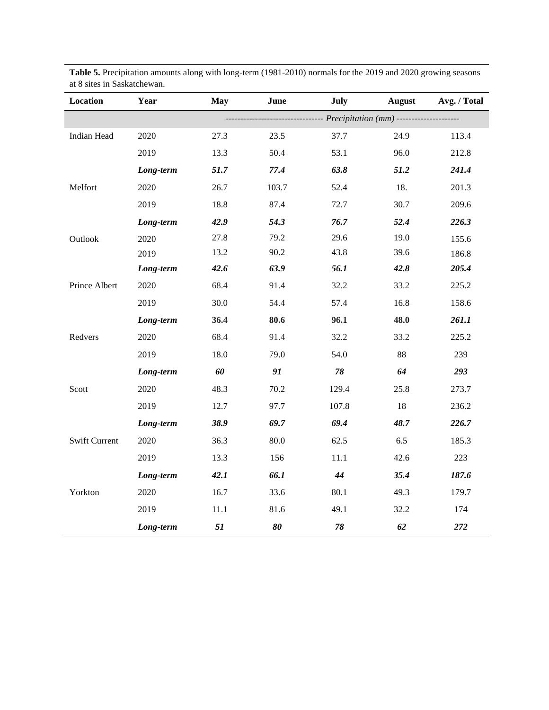| Location             | Year      | <b>May</b> | June  | July                                                  | <b>August</b> | Avg. / Total |
|----------------------|-----------|------------|-------|-------------------------------------------------------|---------------|--------------|
|                      |           |            |       | ------------ Precipitation (mm) --------------------- |               |              |
| Indian Head          | 2020      | 27.3       | 23.5  | 37.7                                                  | 24.9          | 113.4        |
|                      | 2019      | 13.3       | 50.4  | 53.1                                                  | 96.0          | 212.8        |
|                      | Long-term | 51.7       | 77.4  | 63.8                                                  | 51.2          | 241.4        |
| Melfort              | 2020      | 26.7       | 103.7 | 52.4                                                  | 18.           | 201.3        |
|                      | 2019      | 18.8       | 87.4  | 72.7                                                  | 30.7          | 209.6        |
|                      | Long-term | 42.9       | 54.3  | 76.7                                                  | 52.4          | 226.3        |
| Outlook              | 2020      | 27.8       | 79.2  | 29.6                                                  | 19.0          | 155.6        |
|                      | 2019      | 13.2       | 90.2  | 43.8                                                  | 39.6          | 186.8        |
|                      | Long-term | 42.6       | 63.9  | 56.1                                                  | 42.8          | 205.4        |
| Prince Albert        | 2020      | 68.4       | 91.4  | 32.2                                                  | 33.2          | 225.2        |
|                      | 2019      | 30.0       | 54.4  | 57.4                                                  | 16.8          | 158.6        |
|                      | Long-term | 36.4       | 80.6  | 96.1                                                  | 48.0          | 261.1        |
| Redvers              | 2020      | 68.4       | 91.4  | 32.2                                                  | 33.2          | 225.2        |
|                      | 2019      | 18.0       | 79.0  | 54.0                                                  | 88            | 239          |
|                      | Long-term | 60         | 91    | 78                                                    | 64            | 293          |
| Scott                | 2020      | 48.3       | 70.2  | 129.4                                                 | 25.8          | 273.7        |
|                      | 2019      | 12.7       | 97.7  | 107.8                                                 | 18            | 236.2        |
|                      | Long-term | 38.9       | 69.7  | 69.4                                                  | 48.7          | 226.7        |
| <b>Swift Current</b> | 2020      | 36.3       | 80.0  | 62.5                                                  | 6.5           | 185.3        |
|                      | 2019      | 13.3       | 156   | 11.1                                                  | 42.6          | 223          |
|                      | Long-term | 42.1       | 66.1  | 44                                                    | 35.4          | 187.6        |
| Yorkton              | 2020      | 16.7       | 33.6  | 80.1                                                  | 49.3          | 179.7        |
|                      | 2019      | 11.1       | 81.6  | 49.1                                                  | 32.2          | 174          |
|                      | Long-term | 51         | 80    | $78\,$                                                | 62            | 272          |

**Table 5.** Precipitation amounts along with long-term (1981-2010) normals for the 2019 and 2020 growing seasons at 8 sites in Saskatchewan.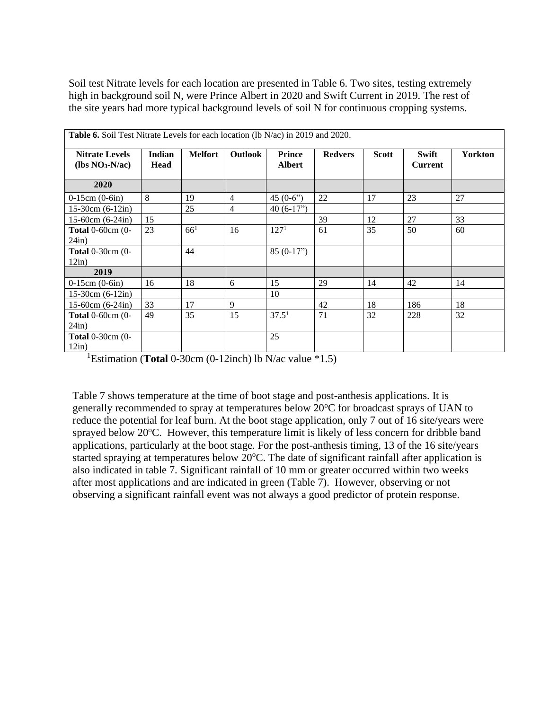Soil test Nitrate levels for each location are presented in Table 6. Two sites, testing extremely high in background soil N, were Prince Albert in 2020 and Swift Current in 2019. The rest of the site years had more typical background levels of soil N for continuous cropping systems.

| <b>Table 6.</b> Soil Test Nitrate Levels for each location (lb N/ac) in 2019 and 2020. |                       |                |                |                                |                |              |                                |                |
|----------------------------------------------------------------------------------------|-----------------------|----------------|----------------|--------------------------------|----------------|--------------|--------------------------------|----------------|
| <b>Nitrate Levels</b><br>$(lbs NO3-N/ac)$                                              | <b>Indian</b><br>Head | <b>Melfort</b> | <b>Outlook</b> | <b>Prince</b><br><b>Albert</b> | <b>Redvers</b> | <b>Scott</b> | <b>Swift</b><br><b>Current</b> | <b>Yorkton</b> |
| 2020                                                                                   |                       |                |                |                                |                |              |                                |                |
| $0-15$ cm $(0-6$ in)                                                                   | 8                     | 19             | $\overline{4}$ | $45(0-6")$                     | 22             | 17           | 23                             | 27             |
| $15-30cm(6-12in)$                                                                      |                       | 25             | 4              | $40(6-17")$                    |                |              |                                |                |
| $15-60$ cm $(6-24in)$                                                                  | 15                    |                |                |                                | 39             | 12           | 27                             | 33             |
| <b>Total</b> $0$ -60cm $(0-$<br>24in)                                                  | 23                    | $66^{1}$       | 16             | 127 <sup>1</sup>               | 61             | 35           | 50                             | 60             |
| <b>Total</b> $0-30$ cm $(0-$<br>12in)                                                  |                       | 44             |                | $85(0-17")$                    |                |              |                                |                |
| 2019                                                                                   |                       |                |                |                                |                |              |                                |                |
| $0-15$ cm $(0-6$ in)                                                                   | 16                    | 18             | 6              | 15                             | 29             | 14           | 42                             | 14             |
| $15-30cm(6-12in)$                                                                      |                       |                |                | 10                             |                |              |                                |                |
| $15-60$ cm $(6-24in)$                                                                  | 33                    | 17             | 9              |                                | 42             | 18           | 186                            | 18             |
| Total $0-60$ cm $(0-$<br>24in)                                                         | 49                    | 35             | 15             | 37.5 <sup>1</sup>              | 71             | 32           | 228                            | 32             |
| <b>Total</b> $0-30$ cm $(0-$<br>12in)                                                  |                       |                |                | 25                             |                |              |                                |                |

<sup>1</sup>Estimation (**Total** 0-30cm (0-12inch) lb N/ac value \*1.5)

Table 7 shows temperature at the time of boot stage and post-anthesis applications. It is generally recommended to spray at temperatures below  $20^{\circ}$ C for broadcast sprays of UAN to reduce the potential for leaf burn. At the boot stage application, only 7 out of 16 site/years were sprayed below 20°C. However, this temperature limit is likely of less concern for dribble band applications, particularly at the boot stage. For the post-anthesis timing, 13 of the 16 site/years started spraying at temperatures below  $20^{\circ}$ C. The date of significant rainfall after application is also indicated in table 7. Significant rainfall of 10 mm or greater occurred within two weeks after most applications and are indicated in green (Table 7). However, observing or not observing a significant rainfall event was not always a good predictor of protein response.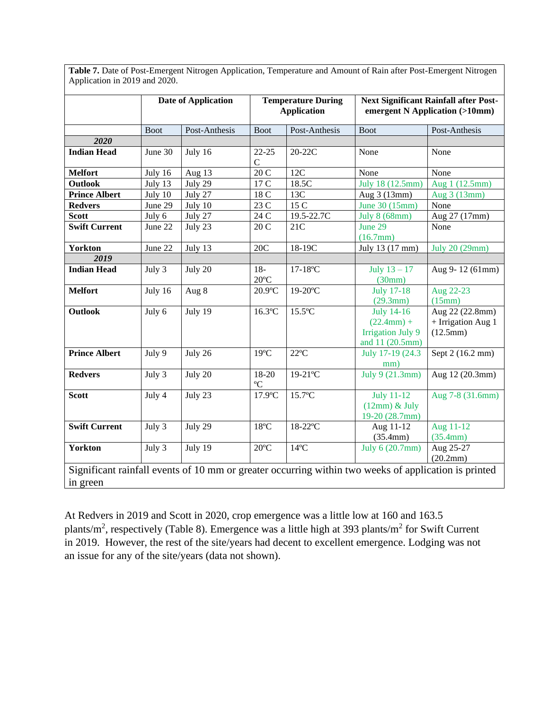|                      |             | <b>Date of Application</b> |                          | <b>Temperature During</b><br><b>Application</b> |                                                                                                      | <b>Next Significant Rainfall after Post-</b><br>emergent N Application (>10mm) |
|----------------------|-------------|----------------------------|--------------------------|-------------------------------------------------|------------------------------------------------------------------------------------------------------|--------------------------------------------------------------------------------|
|                      | <b>Boot</b> | Post-Anthesis              | <b>Boot</b>              | Post-Anthesis                                   | <b>Boot</b>                                                                                          | Post-Anthesis                                                                  |
| 2020                 |             |                            |                          |                                                 |                                                                                                      |                                                                                |
| <b>Indian Head</b>   | June 30     | July 16                    | $22 - 25$<br>$\mathbf C$ | 20-22C                                          | None                                                                                                 | None                                                                           |
| <b>Melfort</b>       | July 16     | Aug 13                     | 20C                      | 12C                                             | None                                                                                                 | None                                                                           |
| Outlook              | July 13     | July 29                    | 17 C                     | 18.5C                                           | July 18 (12.5mm)                                                                                     | Aug 1 (12.5mm)                                                                 |
| <b>Prince Albert</b> | July 10     | July 27                    | 18 C                     | 13C                                             | Aug 3 (13mm)                                                                                         | Aug 3 (13mm)                                                                   |
| <b>Redvers</b>       | June 29     | July 10                    | 23 C                     | 15 C                                            | June 30 (15mm)                                                                                       | None                                                                           |
| <b>Scott</b>         | July 6      | July 27                    | $24\,\mathrm{C}$         | 19.5-22.7C                                      | July 8 (68mm)                                                                                        | Aug 27 (17mm)                                                                  |
| <b>Swift Current</b> | June 22     | July 23                    | 20 C                     | 21C                                             | June 29<br>(16.7mm)                                                                                  | None                                                                           |
| <b>Yorkton</b>       | June 22     | July 13                    | 20C                      | 18-19C                                          | July 13 (17 mm)                                                                                      | July 20 (29mm)                                                                 |
| 2019                 |             |                            |                          |                                                 |                                                                                                      |                                                                                |
| <b>Indian Head</b>   | July 3      | July 20                    | $18-$<br>$20^{\circ}$ C  | $17-18$ °C                                      | July $13 - 17$<br>(30mm)                                                                             | Aug 9-12 (61mm)                                                                |
| <b>Melfort</b>       | July 16     | Aug 8                      | $20.9$ °C                | $19-20$ °C                                      | <b>July 17-18</b><br>(29.3mm)                                                                        | Aug 22-23<br>(15mm)                                                            |
| Outlook              | July 6      | July 19                    | $16.3$ °C                | $15.5^{\circ}$ C                                | <b>July 14-16</b><br>$(22.4mm) +$<br><b>Irrigation July 9</b><br>and 11 (20.5mm)                     | Aug 22 (22.8mm)<br>+ Irrigation Aug 1<br>(12.5mm)                              |
| <b>Prince Albert</b> | July 9      | July 26                    | $19^{\circ}C$            | $22^{\circ}C$                                   | July 17-19 (24.3)<br>mm)                                                                             | Sept 2 (16.2 mm)                                                               |
| <b>Redvers</b>       | July 3      | July 20                    | 18-20<br>$\rm ^{o}C$     | $19-21$ °C                                      | July 9 (21.3mm)                                                                                      | Aug 12 (20.3mm)                                                                |
| <b>Scott</b>         | July 4      | July 23                    | $17.9$ °C                | $15.7^{\circ}$ C                                | <b>July 11-12</b><br>$(12mm)$ & July<br>19-20 (28.7mm)                                               | Aug 7-8 (31.6mm)                                                               |
| <b>Swift Current</b> | July 3      | July 29                    | $18^{\circ}$ C           | 18-22°C                                         | Aug 11-12<br>(35.4mm)                                                                                | Aug 11-12<br>(35.4mm)                                                          |
| <b>Yorkton</b>       | July 3      | July 19                    | $20^{\circ}$ C           | $14^{\circ}$ C                                  | July 6 (20.7mm)                                                                                      | Aug 25-27<br>(20.2mm)                                                          |
| in green             |             |                            |                          |                                                 | Significant rainfall events of 10 mm or greater occurring within two weeks of application is printed |                                                                                |

Table 7. Date of Post-Emergent Nitrogen Application, Temperature and Amount of Rain after Post-Emergent Nitrogen Application in 2019 and 2020.

At Redvers in 2019 and Scott in 2020, crop emergence was a little low at 160 and 163.5 plants/m<sup>2</sup>, respectively (Table 8). Emergence was a little high at 393 plants/m<sup>2</sup> for Swift Current in 2019. However, the rest of the site/years had decent to excellent emergence. Lodging was not an issue for any of the site/years (data not shown).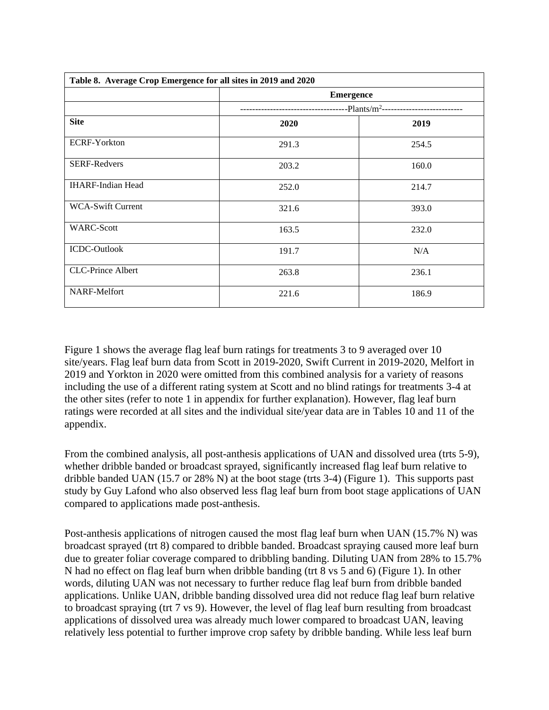| Table 8. Average Crop Emergence for all sites in 2019 and 2020 |                  |                                           |
|----------------------------------------------------------------|------------------|-------------------------------------------|
|                                                                | <b>Emergence</b> |                                           |
|                                                                |                  | --Plants/m <sup>2</sup> ----------------- |
| <b>Site</b>                                                    | 2020             | 2019                                      |
| <b>ECRF-Yorkton</b>                                            | 291.3            | 254.5                                     |
| <b>SERF-Redvers</b>                                            | 203.2            | 160.0                                     |
| <b>IHARF-Indian Head</b>                                       | 252.0            | 214.7                                     |
| <b>WCA-Swift Current</b>                                       | 321.6            | 393.0                                     |
| <b>WARC-Scott</b>                                              | 163.5            | 232.0                                     |
| <b>ICDC-Outlook</b>                                            | 191.7            | N/A                                       |
| <b>CLC-Prince Albert</b>                                       | 263.8            | 236.1                                     |
| NARF-Melfort                                                   | 221.6            | 186.9                                     |

Figure 1 shows the average flag leaf burn ratings for treatments 3 to 9 averaged over 10 site/years. Flag leaf burn data from Scott in 2019-2020, Swift Current in 2019-2020, Melfort in 2019 and Yorkton in 2020 were omitted from this combined analysis for a variety of reasons including the use of a different rating system at Scott and no blind ratings for treatments 3-4 at the other sites (refer to note 1 in appendix for further explanation). However, flag leaf burn ratings were recorded at all sites and the individual site/year data are in Tables 10 and 11 of the appendix.

From the combined analysis, all post-anthesis applications of UAN and dissolved urea (trts 5-9), whether dribble banded or broadcast sprayed, significantly increased flag leaf burn relative to dribble banded UAN (15.7 or 28% N) at the boot stage (trts 3-4) (Figure 1). This supports past study by Guy Lafond who also observed less flag leaf burn from boot stage applications of UAN compared to applications made post-anthesis.

Post-anthesis applications of nitrogen caused the most flag leaf burn when UAN (15.7% N) was broadcast sprayed (trt 8) compared to dribble banded. Broadcast spraying caused more leaf burn due to greater foliar coverage compared to dribbling banding. Diluting UAN from 28% to 15.7% N had no effect on flag leaf burn when dribble banding (trt 8 vs 5 and 6) (Figure 1). In other words, diluting UAN was not necessary to further reduce flag leaf burn from dribble banded applications. Unlike UAN, dribble banding dissolved urea did not reduce flag leaf burn relative to broadcast spraying (trt 7 vs 9). However, the level of flag leaf burn resulting from broadcast applications of dissolved urea was already much lower compared to broadcast UAN, leaving relatively less potential to further improve crop safety by dribble banding. While less leaf burn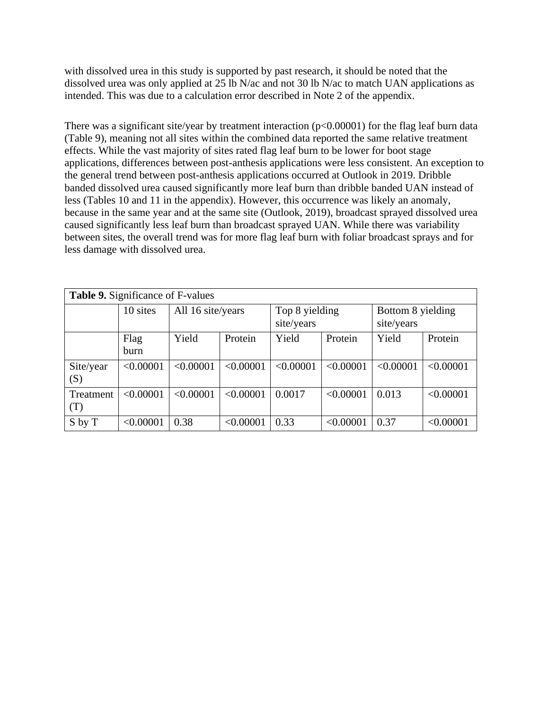with dissolved urea in this study is supported by past research, it should be noted that the dissolved urea was only applied at 25 lb N/ac and not 30 lb N/ac to match UAN applications as intended. This was due to a calculation error described in Note 2 of the appendix.

There was a significant site/year by treatment interaction (p<0.00001) for the flag leaf burn data (Table 9), meaning not all sites within the combined data reported the same relative treatment effects. While the vast majority of sites rated flag leaf burn to be lower for boot stage applications, differences between post-anthesis applications were less consistent. An exception to the general trend between post-anthesis applications occurred at Outlook in 2019. Dribble banded dissolved urea caused significantly more leaf burn than dribble banded UAN instead of less (Tables 10 and 11 in the appendix). However, this occurrence was likely an anomaly, because in the same year and at the same site (Outlook, 2019), broadcast sprayed dissolved urea caused significantly less leaf burn than broadcast sprayed UAN. While there was variability between sites, the overall trend was for more flag leaf burn with foliar broadcast sprays and for less damage with dissolved urea.

|                                       | <b>Table 9.</b> Significance of F-values |                   |           |                              |           |                                 |           |  |
|---------------------------------------|------------------------------------------|-------------------|-----------|------------------------------|-----------|---------------------------------|-----------|--|
|                                       | 10 sites                                 | All 16 site/years |           | Top 8 yielding<br>site/years |           | Bottom 8 yielding<br>site/years |           |  |
|                                       | Flag<br><b>burn</b>                      | Yield             | Protein   | Yield                        | Protein   | Yield                           | Protein   |  |
| Site/year<br>$\left( \text{S}\right)$ | < 0.00001                                | < 0.00001         | < 0.00001 | < 0.00001                    | < 0.00001 | < 0.00001                       | < 0.00001 |  |
| Treatment<br>(T)                      | < 0.00001                                | < 0.00001         | < 0.00001 | 0.0017                       | < 0.00001 | 0.013                           | < 0.00001 |  |
| S by T                                | < 0.00001                                | 0.38              | < 0.00001 | 0.33                         | < 0.00001 | 0.37                            | < 0.00001 |  |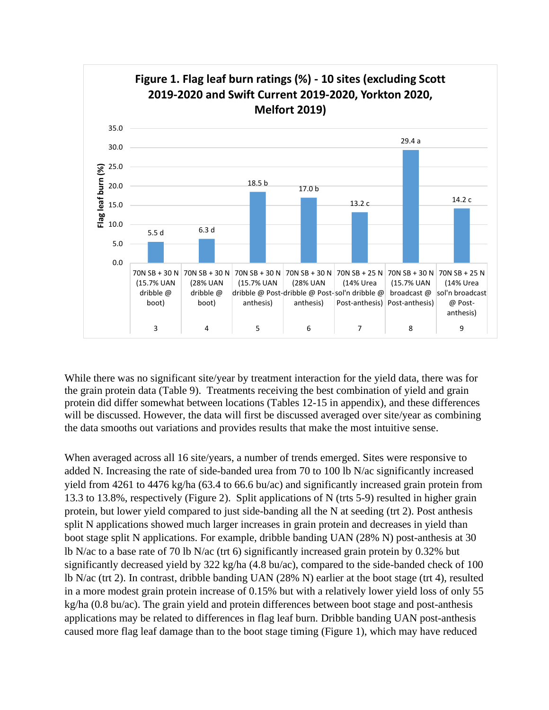

While there was no significant site/year by treatment interaction for the yield data, there was for the grain protein data (Table 9). Treatments receiving the best combination of yield and grain protein did differ somewhat between locations (Tables 12-15 in appendix), and these differences will be discussed. However, the data will first be discussed averaged over site/year as combining the data smooths out variations and provides results that make the most intuitive sense.

When averaged across all 16 site/years, a number of trends emerged. Sites were responsive to added N. Increasing the rate of side-banded urea from 70 to 100 lb N/ac significantly increased yield from 4261 to 4476 kg/ha (63.4 to 66.6 bu/ac) and significantly increased grain protein from 13.3 to 13.8%, respectively (Figure 2). Split applications of N (trts 5-9) resulted in higher grain protein, but lower yield compared to just side-banding all the N at seeding (trt 2). Post anthesis split N applications showed much larger increases in grain protein and decreases in yield than boot stage split N applications. For example, dribble banding UAN (28% N) post-anthesis at 30 lb N/ac to a base rate of 70 lb N/ac (trt 6) significantly increased grain protein by 0.32% but significantly decreased yield by 322 kg/ha (4.8 bu/ac), compared to the side-banded check of 100 lb N/ac (trt 2). In contrast, dribble banding UAN (28% N) earlier at the boot stage (trt 4), resulted in a more modest grain protein increase of 0.15% but with a relatively lower yield loss of only 55 kg/ha (0.8 bu/ac). The grain yield and protein differences between boot stage and post-anthesis applications may be related to differences in flag leaf burn. Dribble banding UAN post-anthesis caused more flag leaf damage than to the boot stage timing (Figure 1), which may have reduced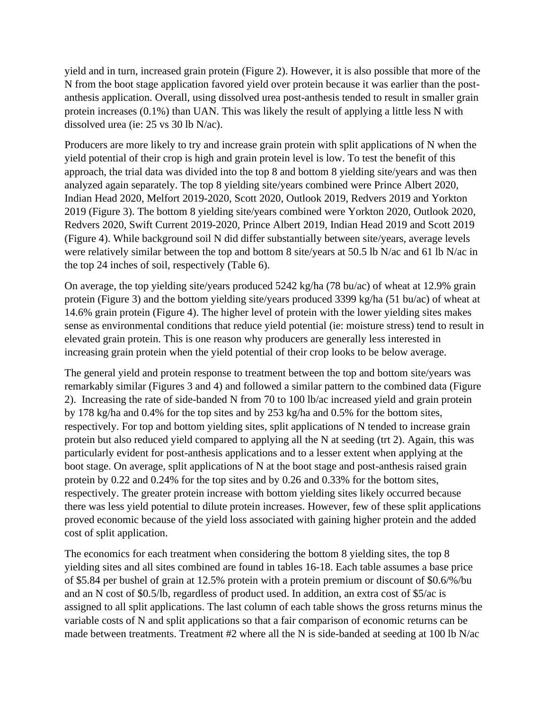yield and in turn, increased grain protein (Figure 2). However, it is also possible that more of the N from the boot stage application favored yield over protein because it was earlier than the postanthesis application. Overall, using dissolved urea post-anthesis tended to result in smaller grain protein increases (0.1%) than UAN. This was likely the result of applying a little less N with dissolved urea (ie: 25 vs 30 lb N/ac).

Producers are more likely to try and increase grain protein with split applications of N when the yield potential of their crop is high and grain protein level is low. To test the benefit of this approach, the trial data was divided into the top 8 and bottom 8 yielding site/years and was then analyzed again separately. The top 8 yielding site/years combined were Prince Albert 2020, Indian Head 2020, Melfort 2019-2020, Scott 2020, Outlook 2019, Redvers 2019 and Yorkton 2019 (Figure 3). The bottom 8 yielding site/years combined were Yorkton 2020, Outlook 2020, Redvers 2020, Swift Current 2019-2020, Prince Albert 2019, Indian Head 2019 and Scott 2019 (Figure 4). While background soil N did differ substantially between site/years, average levels were relatively similar between the top and bottom 8 site/years at 50.5 lb N/ac and 61 lb N/ac in the top 24 inches of soil, respectively (Table 6).

On average, the top yielding site/years produced 5242 kg/ha (78 bu/ac) of wheat at 12.9% grain protein (Figure 3) and the bottom yielding site/years produced 3399 kg/ha (51 bu/ac) of wheat at 14.6% grain protein (Figure 4). The higher level of protein with the lower yielding sites makes sense as environmental conditions that reduce yield potential (ie: moisture stress) tend to result in elevated grain protein. This is one reason why producers are generally less interested in increasing grain protein when the yield potential of their crop looks to be below average.

The general yield and protein response to treatment between the top and bottom site/years was remarkably similar (Figures 3 and 4) and followed a similar pattern to the combined data (Figure 2). Increasing the rate of side-banded N from 70 to 100 lb/ac increased yield and grain protein by 178 kg/ha and 0.4% for the top sites and by 253 kg/ha and 0.5% for the bottom sites, respectively. For top and bottom yielding sites, split applications of N tended to increase grain protein but also reduced yield compared to applying all the N at seeding (trt 2). Again, this was particularly evident for post-anthesis applications and to a lesser extent when applying at the boot stage. On average, split applications of N at the boot stage and post-anthesis raised grain protein by 0.22 and 0.24% for the top sites and by 0.26 and 0.33% for the bottom sites, respectively. The greater protein increase with bottom yielding sites likely occurred because there was less yield potential to dilute protein increases. However, few of these split applications proved economic because of the yield loss associated with gaining higher protein and the added cost of split application.

The economics for each treatment when considering the bottom 8 yielding sites, the top 8 yielding sites and all sites combined are found in tables 16-18. Each table assumes a base price of \$5.84 per bushel of grain at 12.5% protein with a protein premium or discount of \$0.6/%/bu and an N cost of \$0.5/lb, regardless of product used. In addition, an extra cost of \$5/ac is assigned to all split applications. The last column of each table shows the gross returns minus the variable costs of N and split applications so that a fair comparison of economic returns can be made between treatments. Treatment #2 where all the N is side-banded at seeding at 100 lb N/ac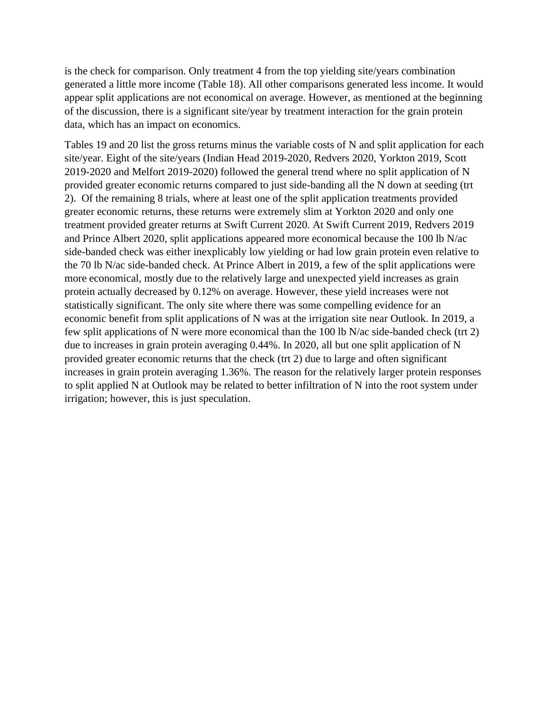is the check for comparison. Only treatment 4 from the top yielding site/years combination generated a little more income (Table 18). All other comparisons generated less income. It would appear split applications are not economical on average. However, as mentioned at the beginning of the discussion, there is a significant site/year by treatment interaction for the grain protein data, which has an impact on economics.

Tables 19 and 20 list the gross returns minus the variable costs of N and split application for each site/year. Eight of the site/years (Indian Head 2019-2020, Redvers 2020, Yorkton 2019, Scott 2019-2020 and Melfort 2019-2020) followed the general trend where no split application of N provided greater economic returns compared to just side-banding all the N down at seeding (trt 2). Of the remaining 8 trials, where at least one of the split application treatments provided greater economic returns, these returns were extremely slim at Yorkton 2020 and only one treatment provided greater returns at Swift Current 2020. At Swift Current 2019, Redvers 2019 and Prince Albert 2020, split applications appeared more economical because the 100 lb N/ac side-banded check was either inexplicably low yielding or had low grain protein even relative to the 70 lb N/ac side-banded check. At Prince Albert in 2019, a few of the split applications were more economical, mostly due to the relatively large and unexpected yield increases as grain protein actually decreased by 0.12% on average. However, these yield increases were not statistically significant. The only site where there was some compelling evidence for an economic benefit from split applications of N was at the irrigation site near Outlook. In 2019, a few split applications of N were more economical than the 100 lb N/ac side-banded check (trt 2) due to increases in grain protein averaging 0.44%. In 2020, all but one split application of N provided greater economic returns that the check (trt 2) due to large and often significant increases in grain protein averaging 1.36%. The reason for the relatively larger protein responses to split applied N at Outlook may be related to better infiltration of N into the root system under irrigation; however, this is just speculation.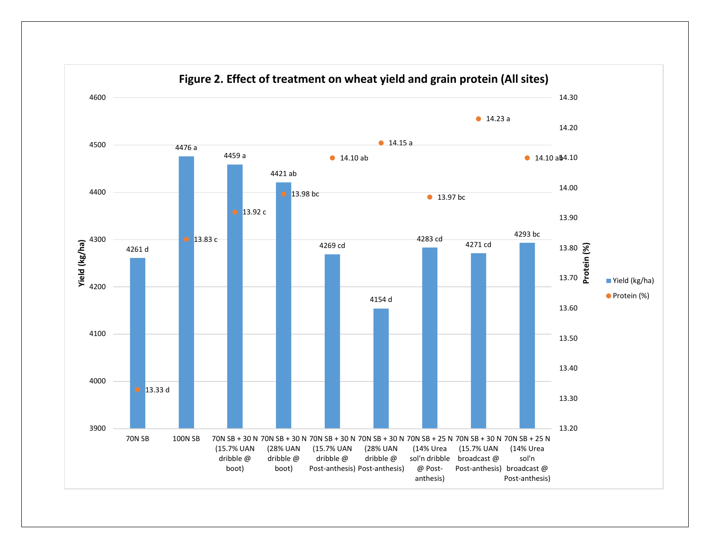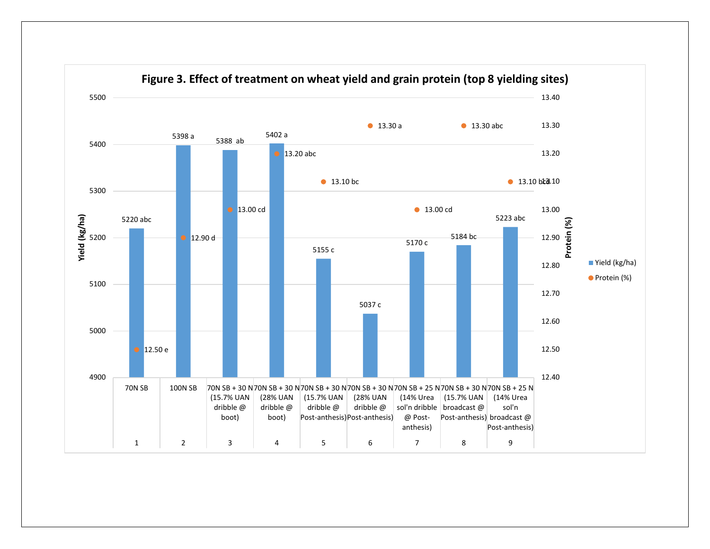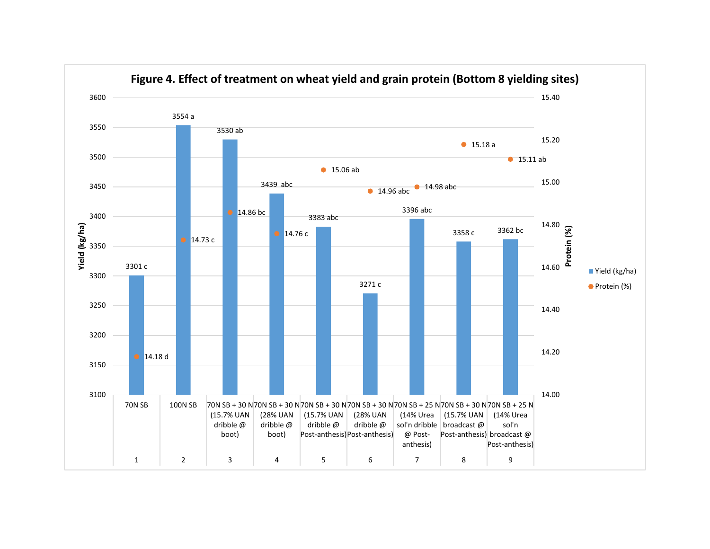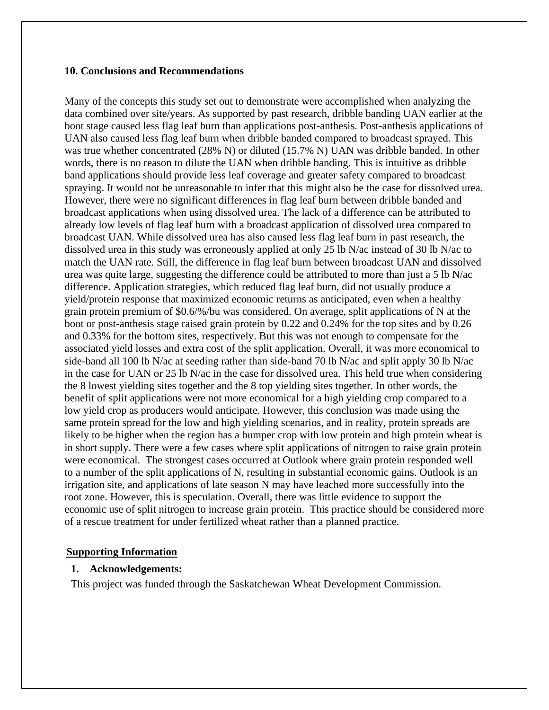#### **10. Conclusions and Recommendations**

Many of the concepts this study set out to demonstrate were accomplished when analyzing the data combined over site/years. As supported by past research, dribble banding UAN earlier at the boot stage caused less flag leaf burn than applications post-anthesis. Post-anthesis applications of UAN also caused less flag leaf burn when dribble banded compared to broadcast sprayed. This was true whether concentrated (28% N) or diluted (15.7% N) UAN was dribble banded. In other words, there is no reason to dilute the UAN when dribble banding. This is intuitive as dribble band applications should provide less leaf coverage and greater safety compared to broadcast spraying. It would not be unreasonable to infer that this might also be the case for dissolved urea. However, there were no significant differences in flag leaf burn between dribble banded and broadcast applications when using dissolved urea. The lack of a difference can be attributed to already low levels of flag leaf burn with a broadcast application of dissolved urea compared to broadcast UAN. While dissolved urea has also caused less flag leaf burn in past research, the dissolved urea in this study was erroneously applied at only 25 lb N/ac instead of 30 lb N/ac to match the UAN rate. Still, the difference in flag leaf burn between broadcast UAN and dissolved urea was quite large, suggesting the difference could be attributed to more than just a 5 lb N/ac difference. Application strategies, which reduced flag leaf burn, did not usually produce a yield/protein response that maximized economic returns as anticipated, even when a healthy grain protein premium of \$0.6/%/bu was considered. On average, split applications of N at the boot or post-anthesis stage raised grain protein by 0.22 and 0.24% for the top sites and by 0.26 and 0.33% for the bottom sites, respectively. But this was not enough to compensate for the associated yield losses and extra cost of the split application. Overall, it was more economical to side-band all 100 lb N/ac at seeding rather than side-band 70 lb N/ac and split apply 30 lb N/ac in the case for UAN or 25 lb N/ac in the case for dissolved urea. This held true when considering the 8 lowest yielding sites together and the 8 top yielding sites together. In other words, the benefit of split applications were not more economical for a high yielding crop compared to a low yield crop as producers would anticipate. However, this conclusion was made using the same protein spread for the low and high yielding scenarios, and in reality, protein spreads are likely to be higher when the region has a bumper crop with low protein and high protein wheat is in short supply. There were a few cases where split applications of nitrogen to raise grain protein were economical. The strongest cases occurred at Outlook where grain protein responded well to a number of the split applications of N, resulting in substantial economic gains. Outlook is an irrigation site, and applications of late season N may have leached more successfully into the root zone. However, this is speculation. Overall, there was little evidence to support the economic use of split nitrogen to increase grain protein. This practice should be considered more of a rescue treatment for under fertilized wheat rather than a planned practice.

## **Supporting Information**

#### **1. Acknowledgements:**

This project was funded through the Saskatchewan Wheat Development Commission.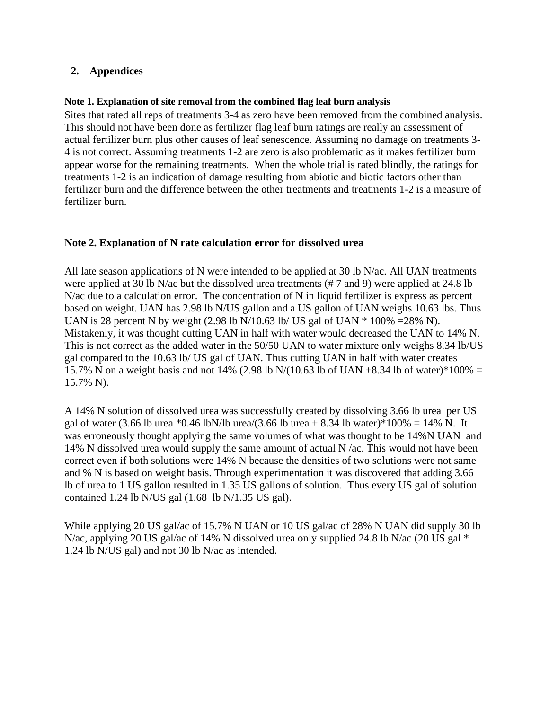# **2. Appendices**

## **Note 1. Explanation of site removal from the combined flag leaf burn analysis**

Sites that rated all reps of treatments 3-4 as zero have been removed from the combined analysis. This should not have been done as fertilizer flag leaf burn ratings are really an assessment of actual fertilizer burn plus other causes of leaf senescence. Assuming no damage on treatments 3- 4 is not correct. Assuming treatments 1-2 are zero is also problematic as it makes fertilizer burn appear worse for the remaining treatments. When the whole trial is rated blindly, the ratings for treatments 1-2 is an indication of damage resulting from abiotic and biotic factors other than fertilizer burn and the difference between the other treatments and treatments 1-2 is a measure of fertilizer burn.

## **Note 2. Explanation of N rate calculation error for dissolved urea**

All late season applications of N were intended to be applied at 30 lb N/ac. All UAN treatments were applied at 30 lb N/ac but the dissolved urea treatments (# 7 and 9) were applied at 24.8 lb N/ac due to a calculation error. The concentration of N in liquid fertilizer is express as percent based on weight. UAN has 2.98 lb N/US gallon and a US gallon of UAN weighs 10.63 lbs. Thus UAN is 28 percent N by weight (2.98 lb N/10.63 lb/ US gal of UAN  $*$  100% =28% N). Mistakenly, it was thought cutting UAN in half with water would decreased the UAN to 14% N. This is not correct as the added water in the 50/50 UAN to water mixture only weighs 8.34 lb/US gal compared to the 10.63 lb/ US gal of UAN. Thus cutting UAN in half with water creates 15.7% N on a weight basis and not 14% (2.98 lb N/(10.63 lb of UAN +8.34 lb of water)\*100% = 15.7% N).

A 14% N solution of dissolved urea was successfully created by dissolving 3.66 lb urea per US gal of water (3.66 lb urea \*0.46 lbN/lb urea/(3.66 lb urea + 8.34 lb water)\*100% = 14% N. It was erroneously thought applying the same volumes of what was thought to be 14%N UAN and 14% N dissolved urea would supply the same amount of actual N /ac. This would not have been correct even if both solutions were 14% N because the densities of two solutions were not same and % N is based on weight basis. Through experimentation it was discovered that adding 3.66 lb of urea to 1 US gallon resulted in 1.35 US gallons of solution. Thus every US gal of solution contained 1.24 lb N/US gal (1.68 lb N/1.35 US gal).

While applying 20 US gal/ac of 15.7% N UAN or 10 US gal/ac of 28% N UAN did supply 30 lb N/ac, applying 20 US gal/ac of 14% N dissolved urea only supplied 24.8 lb N/ac (20 US gal  $*$ 1.24 lb N/US gal) and not 30 lb N/ac as intended.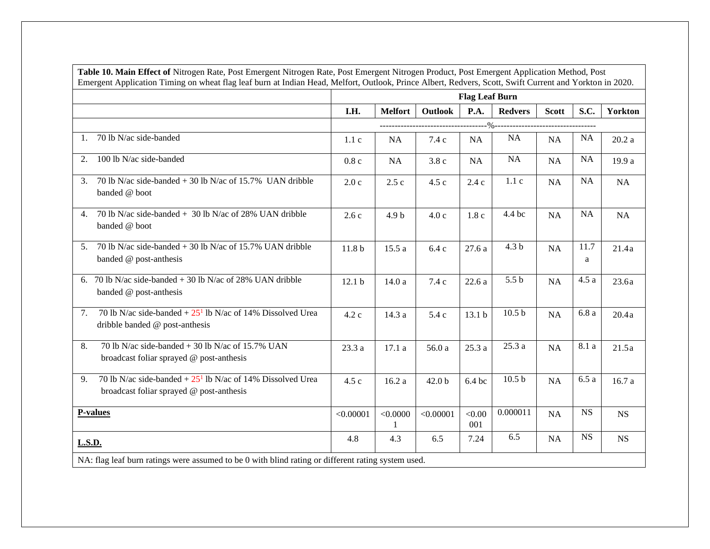|                                                                                                                 |                   |                  |                   | <b>Flag Leaf Burn</b> |                     |              |           |                |
|-----------------------------------------------------------------------------------------------------------------|-------------------|------------------|-------------------|-----------------------|---------------------|--------------|-----------|----------------|
|                                                                                                                 | I.H.              | <b>Melfort</b>   | Outlook           | P.A.                  | <b>Redvers</b>      | <b>Scott</b> | S.C.      | <b>Yorkton</b> |
|                                                                                                                 |                   |                  |                   |                       |                     |              |           |                |
| 70 lb N/ac side-banded<br>1.                                                                                    | 1.1c              | <b>NA</b>        | 7.4 c             | <b>NA</b>             | <b>NA</b>           | <b>NA</b>    | <b>NA</b> | 20.2a          |
| 100 lb N/ac side-banded<br>2.                                                                                   | 0.8c              | <b>NA</b>        | 3.8c              | NA                    | NA                  | NA           | <b>NA</b> | 19.9 a         |
| 70 lb N/ac side-banded $+$ 30 lb N/ac of 15.7% UAN dribble<br>3.<br>banded @ boot                               | 2.0c              | 2.5c             | 4.5 c             | 2.4c                  | 1.1c                | NA           | <b>NA</b> | NA             |
| 70 lb N/ac side-banded $+$ 30 lb N/ac of 28% UAN dribble<br>4.<br>banded @ boot                                 | 2.6c              | 4.9 <sub>b</sub> | 4.0c              | 1.8c                  | 4.4 bc              | <b>NA</b>    | <b>NA</b> | <b>NA</b>      |
| 70 lb N/ac side-banded $+$ 30 lb N/ac of 15.7% UAN dribble<br>5 <sub>1</sub><br>banded @ post-anthesis          | 11.8 <sub>b</sub> | 15.5a            | 6.4c              | 27.6a                 | 4.3 <sub>b</sub>    | <b>NA</b>    | 11.7<br>a | 21.4a          |
| 70 lb N/ac side-banded $+$ 30 lb N/ac of 28% UAN dribble<br>6.<br>banded @ post-anthesis                        | 12.1 <sub>b</sub> | 14.0 a           | 7.4c              | 22.6a                 | 5.5 <sub>b</sub>    | <b>NA</b>    | 4.5a      | 23.6a          |
| 70 lb N/ac side-banded $+ 25^1$ lb N/ac of 14% Dissolved Urea<br>7.<br>dribble banded @ post-anthesis           | 4.2 c             | 14.3 a           | 5.4 c             | 13.1 <sub>b</sub>     | 10.5 <sub>b</sub>   | <b>NA</b>    | 6.8a      | 20.4a          |
| 70 lb N/ac side-banded $+$ 30 lb N/ac of 15.7% UAN<br>8.<br>broadcast foliar sprayed @ post-anthesis            | 23.3 a            | 17.1a            | 56.0 a            | 25.3a                 | 25.3a               | NA           | 8.1 a     | 21.5a          |
| 70 lb N/ac side-banded $+ 25^1$ lb N/ac of 14% Dissolved Urea<br>9.<br>broadcast foliar sprayed @ post-anthesis | 4.5c              | 16.2a            | 42.0 <sub>b</sub> | $6.4$ bc              | $\overline{10.5}$ b | <b>NA</b>    | 6.5a      | 16.7a          |
| P-values                                                                                                        | < 0.00001         | < 0.0000         | < 0.00001         | < 0.00<br>001         | 0.000011            | NA           | <b>NS</b> | <b>NS</b>      |
| L.S.D.                                                                                                          | 4.8               | 4.3              | 6.5               | 7.24                  | 6.5                 | NA           | <b>NS</b> | $_{\rm NS}$    |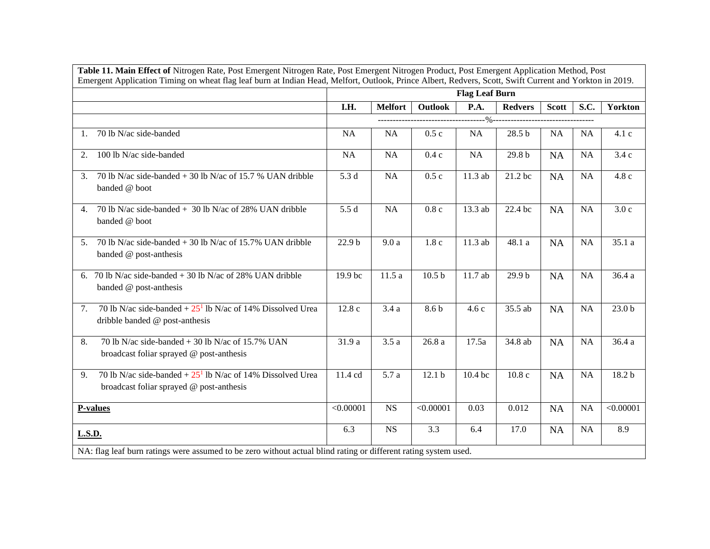| Table 11. Main Effect of Nitrogen Rate, Post Emergent Nitrogen Rate, Post Emergent Nitrogen Product, Post Emergent Application Method, Post<br>Emergent Application Timing on wheat flag leaf burn at Indian Head, Melfort, Outlook, Prince Albert, Redvers, Scott, Swift Current and Yorkton in 2019. |           |                |                   |                       |                   |              |             |                   |
|--------------------------------------------------------------------------------------------------------------------------------------------------------------------------------------------------------------------------------------------------------------------------------------------------------|-----------|----------------|-------------------|-----------------------|-------------------|--------------|-------------|-------------------|
|                                                                                                                                                                                                                                                                                                        |           |                |                   | <b>Flag Leaf Burn</b> |                   |              |             |                   |
|                                                                                                                                                                                                                                                                                                        | I.H.      | <b>Melfort</b> | Outlook           | P.A.                  | <b>Redvers</b>    | <b>Scott</b> | <b>S.C.</b> | Yorkton           |
|                                                                                                                                                                                                                                                                                                        |           |                |                   |                       |                   |              |             |                   |
| 70 lb N/ac side-banded<br>1.                                                                                                                                                                                                                                                                           | <b>NA</b> | <b>NA</b>      | 0.5c              | <b>NA</b>             | 28.5 <sub>b</sub> | <b>NA</b>    | <b>NA</b>   | 4.1c              |
| 100 lb N/ac side-banded<br>2.                                                                                                                                                                                                                                                                          | <b>NA</b> | <b>NA</b>      | 0.4c              | NA                    | 29.8 <sub>b</sub> | <b>NA</b>    | <b>NA</b>   | 3.4c              |
| 70 lb N/ac side-banded $+$ 30 lb N/ac of 15.7 % UAN dribble<br>3.<br>banded @ boot                                                                                                                                                                                                                     | 5.3 d     | NA             | 0.5c              | 11.3 ab               | 21.2 bc           | <b>NA</b>    | <b>NA</b>   | 4.8c              |
| 70 lb N/ac side-banded + 30 lb N/ac of 28% UAN dribble<br>4.<br>banded @ boot                                                                                                                                                                                                                          | 5.5 d     | <b>NA</b>      | 0.8c              | 13.3 ab               | 22.4 bc           | <b>NA</b>    | <b>NA</b>   | 3.0c              |
| 70 lb N/ac side-banded $+$ 30 lb N/ac of 15.7% UAN dribble<br>5 <sub>1</sub><br>banded @ post-anthesis                                                                                                                                                                                                 | 22.9 b    | 9.0a           | 1.8c              | 11.3 ab               | 48.1 a            | <b>NA</b>    | <b>NA</b>   | 35.1a             |
| 70 lb N/ac side-banded $+$ 30 lb N/ac of 28% UAN dribble<br>6.<br>banded @ post-anthesis                                                                                                                                                                                                               | 19.9 bc   | 11.5a          | 10.5 <sub>b</sub> | 11.7 ab               | 29.9 <sub>b</sub> | <b>NA</b>    | <b>NA</b>   | 36.4 a            |
| 70 lb N/ac side-banded $+25^1$ lb N/ac of 14% Dissolved Urea<br>7.<br>dribble banded @ post-anthesis                                                                                                                                                                                                   | 12.8c     | 3.4a           | 8.6 b             | 4.6c                  | 35.5 ab           | <b>NA</b>    | <b>NA</b>   | 23.0 <sub>b</sub> |
| 70 lb N/ac side-banded $+$ 30 lb N/ac of 15.7% UAN<br>8.<br>broadcast foliar sprayed @ post-anthesis                                                                                                                                                                                                   | 31.9 a    | 3.5a           | 26.8a             | 17.5a                 | 34.8 ab           | <b>NA</b>    | <b>NA</b>   | 36.4 a            |
| 70 lb N/ac side-banded $+25^1$ lb N/ac of 14% Dissolved Urea<br>9.<br>broadcast foliar sprayed @ post-anthesis                                                                                                                                                                                         | 11.4 cd   | 5.7 a          | 12.1 <sub>b</sub> | 10.4 bc               | 10.8c             | <b>NA</b>    | <b>NA</b>   | 18.2 b            |
| <b>P-values</b>                                                                                                                                                                                                                                                                                        | < 0.00001 | <b>NS</b>      | < 0.00001         | 0.03                  | 0.012             | <b>NA</b>    | <b>NA</b>   | < 0.00001         |
| <b>L.S.D.</b>                                                                                                                                                                                                                                                                                          | 6.3       | <b>NS</b>      | 3.3               | 6.4                   | 17.0              | <b>NA</b>    | <b>NA</b>   | 8.9               |
| NA: flag leaf burn ratings were assumed to be zero without actual blind rating or different rating system used.                                                                                                                                                                                        |           |                |                   |                       |                   |              |             |                   |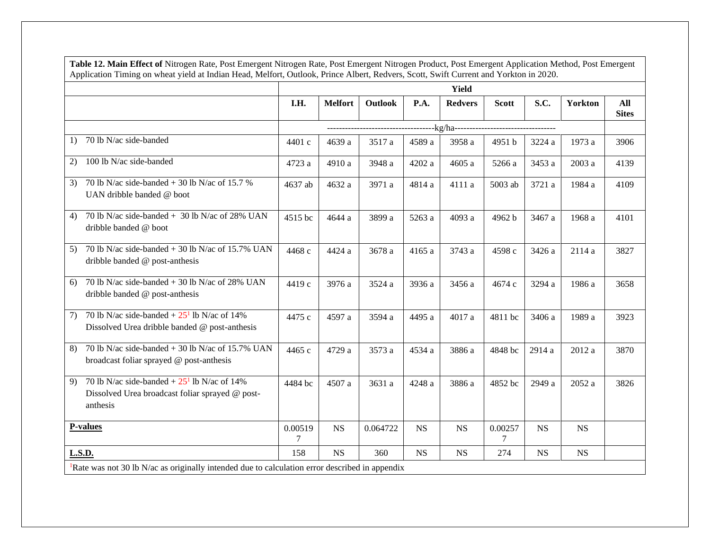| Application Timing on wheat yield at Indian Head, Melfort, Outlook, Prince Albert, Redvers, Scott, Swift Current and Yorkton in 2020. |              |                |          |           | <b>Yield</b>   |              |           |                |                     |
|---------------------------------------------------------------------------------------------------------------------------------------|--------------|----------------|----------|-----------|----------------|--------------|-----------|----------------|---------------------|
|                                                                                                                                       | I.H.         | <b>Melfort</b> | Outlook  | P.A.      | <b>Redvers</b> | <b>Scott</b> | S.C.      | <b>Yorkton</b> | All<br><b>Sites</b> |
|                                                                                                                                       |              |                |          |           |                |              |           |                |                     |
| 70 lb N/ac side-banded<br>1)                                                                                                          | 4401 c       | 4639 a         | 3517 a   | 4589 a    | 3958 a         | 4951 b       | 3224 a    | 1973 a         | 3906                |
| 100 lb N/ac side-banded<br>2)                                                                                                         | 4723 a       | 4910 a         | 3948 a   | 4202 a    | 4605 a         | 5266 a       | 3453 a    | 2003 a         | 4139                |
| 70 lb N/ac side-banded $+30$ lb N/ac of 15.7 %<br>3)<br>UAN dribble banded @ boot                                                     | 4637 ab      | 4632 a         | 3971 a   | 4814 a    | 4111 a         | 5003 ab      | 3721 a    | 1984 a         | 4109                |
| 70 lb N/ac side-banded + 30 lb N/ac of 28% UAN<br>4)<br>dribble banded @ boot                                                         | 4515 bc      | 4644 a         | 3899 a   | 5263 a    | 4093 a         | 4962 b       | 3467 a    | 1968 a         | 4101                |
| 70 lb N/ac side-banded $+$ 30 lb N/ac of 15.7% UAN<br>5)<br>dribble banded @ post-anthesis                                            | 4468 c       | 4424 a         | 3678 a   | 4165 a    | 3743 a         | 4598 c       | 3426 a    | 2114 a         | 3827                |
| 70 lb N/ac side-banded $+30$ lb N/ac of 28% UAN<br>6)<br>dribble banded @ post-anthesis                                               | 4419 c       | 3976 a         | 3524 a   | 3936 a    | 3456 a         | 4674 c       | 3294 a    | 1986 a         | 3658                |
| 70 lb N/ac side-banded $+25^1$ lb N/ac of 14%<br>7)<br>Dissolved Urea dribble banded @ post-anthesis                                  | 4475 с       | 4597 a         | 3594 a   | 4495 a    | 4017 a         | 4811 bc      | 3406 a    | 1989 a         | 3923                |
| 70 lb N/ac side-banded $+$ 30 lb N/ac of 15.7% UAN<br>8)<br>broadcast foliar sprayed @ post-anthesis                                  | 4465 с       | 4729 a         | 3573 a   | 4534 a    | 3886 a         | 4848 bc      | 2914 a    | 2012 a         | 3870                |
| 70 lb N/ac side-banded $+25^1$ lb N/ac of 14%<br>9)<br>Dissolved Urea broadcast foliar sprayed @ post-<br>anthesis                    | 4484 bc      | 4507 a         | 3631 a   | 4248 a    | 3886 a         | 4852 bc      | 2949 a    | 2052 a         | 3826                |
| <b>P-values</b>                                                                                                                       | 0.00519<br>7 | <b>NS</b>      | 0.064722 | <b>NS</b> | <b>NS</b>      | 0.00257<br>7 | <b>NS</b> | <b>NS</b>      |                     |
| <b>L.S.D.</b>                                                                                                                         | 158          | <b>NS</b>      | 360      | <b>NS</b> | <b>NS</b>      | 274          | <b>NS</b> | <b>NS</b>      |                     |

**Table 12. Main Effect of** Nitrogen Rate, Post Emergent Nitrogen Rate, Post Emergent Nitrogen Product, Post Emergent Application Method, Post Emergent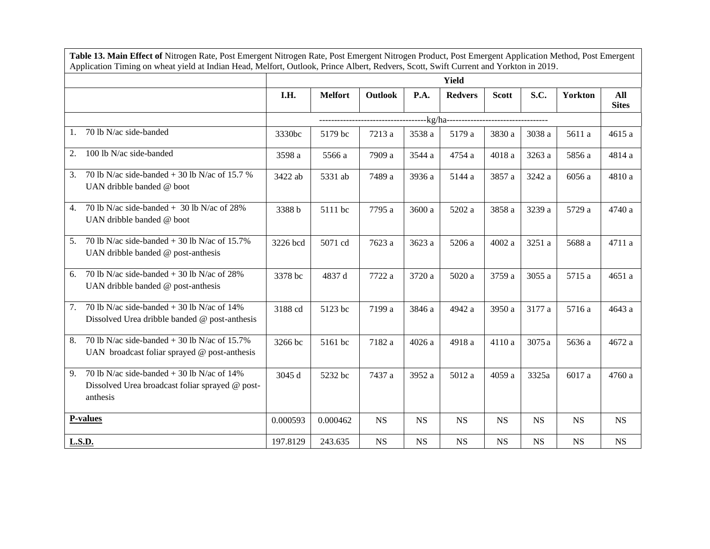|                                                                                                                   |          | <b>Yield</b>   |                |             |                |              |             |                |                     |  |  |
|-------------------------------------------------------------------------------------------------------------------|----------|----------------|----------------|-------------|----------------|--------------|-------------|----------------|---------------------|--|--|
|                                                                                                                   | I.H.     | <b>Melfort</b> | <b>Outlook</b> | P.A.        | <b>Redvers</b> | <b>Scott</b> | S.C.        | <b>Yorkton</b> | All<br><b>Sites</b> |  |  |
|                                                                                                                   |          |                |                |             |                |              |             |                |                     |  |  |
| 70 lb N/ac side-banded<br>1.                                                                                      | 3330bc   | 5179 bc        | 7213 a         | 3538 a      | 5179 a         | 3830 a       | 3038 a      | 5611 a         | 4615 a              |  |  |
| 100 lb N/ac side-banded<br>2.                                                                                     | 3598 a   | 5566 a         | 7909 a         | 3544 a      | 4754 a         | 4018 a       | 3263 a      | 5856 a         | 4814 a              |  |  |
| 70 lb N/ac side-banded $+$ 30 lb N/ac of 15.7 %<br>3.<br>UAN dribble banded @ boot                                | 3422 ab  | 5331 ab        | 7489 a         | 3936 a      | 5144 a         | 3857 a       | 3242 a      | 6056 a         | 4810 a              |  |  |
| 70 lb N/ac side-banded $+$ 30 lb N/ac of 28%<br>4.<br>UAN dribble banded @ boot                                   | 3388b    | 5111 bc        | 7795 a         | 3600 a      | 5202 a         | 3858 a       | 3239 a      | 5729 a         | 4740 a              |  |  |
| 70 lb N/ac side-banded $+$ 30 lb N/ac of 15.7%<br>5.<br>UAN dribble banded @ post-anthesis                        | 3226 bcd | 5071 cd        | 7623 a         | 3623 a      | 5206 a         | 4002 a       | 3251 a      | 5688 a         | 4711 a              |  |  |
| 70 lb N/ac side-banded $+$ 30 lb N/ac of 28%<br>6.<br>UAN dribble banded $@$ post-anthesis                        | 3378 bc  | 4837 d         | 7722 a         | 3720 a      | 5020 a         | 3759 a       | 3055 a      | 5715 a         | 4651 a              |  |  |
| 70 lb N/ac side-banded $+$ 30 lb N/ac of 14%<br>7.<br>Dissolved Urea dribble banded @ post-anthesis               | 3188 cd  | 5123 bc        | 7199 a         | 3846 a      | 4942 a         | 3950 a       | 3177 a      | 5716 a         | 4643 a              |  |  |
| 70 lb N/ac side-banded $+$ 30 lb N/ac of 15.7%<br>8.<br>UAN broadcast foliar sprayed $@$ post-anthesis            | 3266 bc  | 5161 bc        | 7182 a         | 4026 a      | 4918 a         | 4110 a       | 3075 a      | 5636 a         | 4672 a              |  |  |
| 70 lb N/ac side-banded $+$ 30 lb N/ac of 14%<br>9.<br>Dissolved Urea broadcast foliar sprayed @ post-<br>anthesis | 3045 d   | 5232 bc        | 7437 a         | 3952 a      | 5012 a         | 4059 a       | 3325a       | 6017 a         | 4760 a              |  |  |
| <b>P-values</b>                                                                                                   | 0.000593 | 0.000462       | <b>NS</b>      | <b>NS</b>   | <b>NS</b>      | <b>NS</b>    | <b>NS</b>   | <b>NS</b>      | <b>NS</b>           |  |  |
| <b>L.S.D.</b>                                                                                                     | 197.8129 | 243.635        | $_{\rm NS}$    | $_{\rm NS}$ | $_{\rm NS}$    | $_{\rm NS}$  | $_{\rm NS}$ | $_{\rm NS}$    | $_{\rm NS}$         |  |  |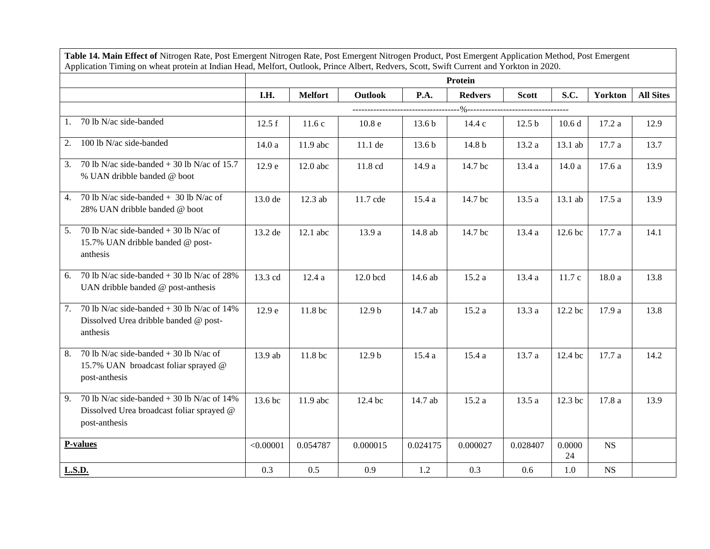| Table 14. Main Effect of Nitrogen Rate, Post Emergent Nitrogen Rate, Post Emergent Nitrogen Product, Post Emergent Application Method, Post Emergent<br>Application Timing on wheat protein at Indian Head, Melfort, Outlook, Prince Albert, Redvers, Scott, Swift Current and Yorkton in 2020. |           |                |                   |                   |                |                   |                   |                |                  |
|-------------------------------------------------------------------------------------------------------------------------------------------------------------------------------------------------------------------------------------------------------------------------------------------------|-----------|----------------|-------------------|-------------------|----------------|-------------------|-------------------|----------------|------------------|
|                                                                                                                                                                                                                                                                                                 |           |                |                   |                   | Protein        |                   |                   |                |                  |
|                                                                                                                                                                                                                                                                                                 | I.H.      | <b>Melfort</b> | <b>Outlook</b>    | P.A.              | <b>Redvers</b> | <b>Scott</b>      | S.C.              | <b>Yorkton</b> | <b>All Sites</b> |
|                                                                                                                                                                                                                                                                                                 |           |                |                   |                   |                |                   |                   |                |                  |
| 70 lb N/ac side-banded<br>1.                                                                                                                                                                                                                                                                    | 12.5 f    | 11.6c          | 10.8 <sub>e</sub> | 13.6 <sub>b</sub> | 14.4 c         | 12.5 <sub>b</sub> | 10.6 <sub>d</sub> | 17.2 a         | 12.9             |
| 100 lb N/ac side-banded<br>2.                                                                                                                                                                                                                                                                   | 14.0 a    | 11.9 abc       | 11.1 de           | 13.6 <sub>b</sub> | 14.8 b         | 13.2 a            | 13.1 ab           | 17.7 a         | 13.7             |
| 70 lb N/ac side-banded $+$ 30 lb N/ac of 15.7<br>3.<br>% UAN dribble banded @ boot                                                                                                                                                                                                              | 12.9 e    | $12.0$ abc     | 11.8 cd           | 14.9 a            | 14.7 bc        | 13.4 a            | 14.0 a            | 17.6a          | 13.9             |
| 70 lb N/ac side-banded $+$ 30 lb N/ac of<br>4.<br>28% UAN dribble banded @ boot                                                                                                                                                                                                                 | 13.0 de   | 12.3 ab        | 11.7 cde          | 15.4a             | 14.7 bc        | 13.5 a            | 13.1 ab           | 17.5a          | 13.9             |
| 70 lb N/ac side-banded $+$ 30 lb N/ac of<br>5.<br>15.7% UAN dribble banded @ post-<br>anthesis                                                                                                                                                                                                  | 13.2 de   | $12.1$ abc     | 13.9 a            | 14.8 ab           | 14.7 bc        | 13.4 a            | 12.6 bc           | 17.7 a         | 14.1             |
| 70 lb N/ac side-banded $+30$ lb N/ac of 28%<br>6.<br>UAN dribble banded @ post-anthesis                                                                                                                                                                                                         | 13.3 cd   | 12.4a          | 12.0 bcd          | 14.6 ab           | 15.2a          | 13.4 a            | 11.7 c            | 18.0a          | 13.8             |
| 70 lb N/ac side-banded $+$ 30 lb N/ac of 14%<br>7.<br>Dissolved Urea dribble banded @ post-<br>anthesis                                                                                                                                                                                         | 12.9 e    | 11.8 bc        | 12.9 <sub>b</sub> | 14.7 ab           | 15.2 a         | 13.3 a            | 12.2 bc           | 17.9 a         | 13.8             |
| 70 lb N/ac side-banded $+$ 30 lb N/ac of<br>8.<br>15.7% UAN broadcast foliar sprayed @<br>post-anthesis                                                                                                                                                                                         | 13.9 ab   | 11.8 bc        | 12.9 <sub>b</sub> | 15.4 a            | 15.4a          | 13.7a             | 12.4 bc           | 17.7 a         | 14.2             |
| 70 lb N/ac side-banded $+$ 30 lb N/ac of 14%<br>9.<br>Dissolved Urea broadcast foliar sprayed @<br>post-anthesis                                                                                                                                                                                | 13.6 bc   | $11.9$ abc     | 12.4 bc           | 14.7 ab           | 15.2 a         | 13.5 a            | 12.3 bc           | 17.8 a         | 13.9             |
| P-values                                                                                                                                                                                                                                                                                        | < 0.00001 | 0.054787       | 0.000015          | 0.024175          | 0.000027       | 0.028407          | 0.0000<br>24      | <b>NS</b>      |                  |
| L.S.D.                                                                                                                                                                                                                                                                                          | 0.3       | 0.5            | 0.9               | 1.2               | 0.3            | 0.6               | 1.0               | <b>NS</b>      |                  |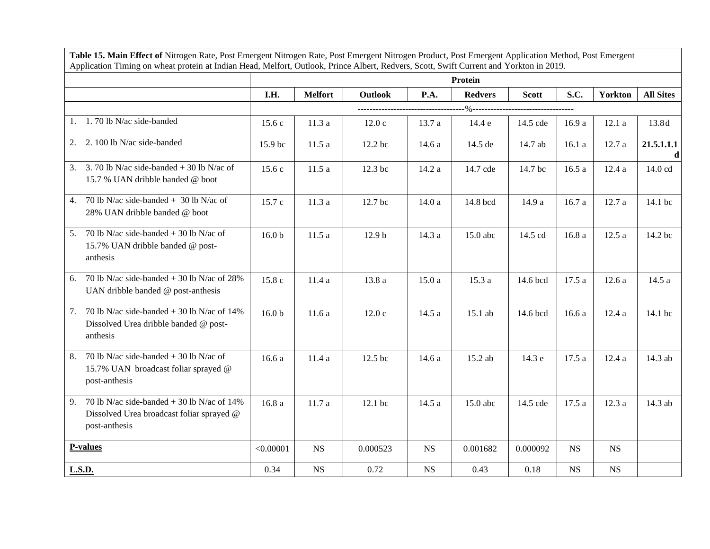|                                                                                                                  | Protein           |                |                   |           |                |              |           |           |                  |  |
|------------------------------------------------------------------------------------------------------------------|-------------------|----------------|-------------------|-----------|----------------|--------------|-----------|-----------|------------------|--|
|                                                                                                                  | I.H.              | <b>Melfort</b> | <b>Outlook</b>    | P.A.      | <b>Redvers</b> | <b>Scott</b> | S.C.      | Yorkton   | <b>All Sites</b> |  |
|                                                                                                                  |                   |                |                   |           |                |              |           |           |                  |  |
| 1.70 lb N/ac side-banded<br>1.                                                                                   | 15.6 c            | 11.3a          | 12.0c             | 13.7a     | 14.4 e         | 14.5 cde     | 16.9 a    | 12.1a     | 13.8d            |  |
| 2. 100 lb N/ac side-banded<br>2.                                                                                 | 15.9 bc           | 11.5a          | 12.2 bc           | 14.6 a    | 14.5 de        | 14.7 ab      | 16.1a     | 12.7 a    | 21.5.1.1.1       |  |
| 3.70 lb N/ac side-banded $+$ 30 lb N/ac of<br>3.<br>15.7 % UAN dribble banded @ boot                             | 15.6 c            | 11.5a          | 12.3 bc           | 14.2 a    | 14.7 cde       | 14.7 bc      | 16.5a     | 12.4a     | 14.0 cd          |  |
| 70 lb N/ac side-banded $+$ 30 lb N/ac of<br>4.<br>28% UAN dribble banded @ boot                                  | 15.7 c            | 11.3a          | 12.7 bc           | 14.0a     | 14.8 bcd       | 14.9 a       | 16.7 a    | 12.7a     | 14.1 bc          |  |
| 70 lb N/ac side-banded $+$ 30 lb N/ac of<br>5.<br>15.7% UAN dribble banded @ post-<br>anthesis                   | 16.0 <sub>b</sub> | 11.5a          | 12.9 <sub>b</sub> | 14.3 a    | 15.0 abc       | 14.5 cd      | 16.8 a    | 12.5a     | 14.2 bc          |  |
| 70 lb N/ac side-banded $+$ 30 lb N/ac of 28%<br>6.<br>UAN dribble banded @ post-anthesis                         | 15.8 c            | 11.4a          | 13.8 a            | 15.0a     | 15.3 a         | 14.6 bcd     | 17.5 a    | 12.6a     | 14.5a            |  |
| 70 lb N/ac side-banded $+$ 30 lb N/ac of 14%<br>7.<br>Dissolved Urea dribble banded @ post-<br>anthesis          | 16.0 <sub>b</sub> | 11.6a          | 12.0c             | 14.5 a    | 15.1 ab        | 14.6 bcd     | 16.6a     | 12.4a     | 14.1 bc          |  |
| 70 lb N/ac side-banded $+$ 30 lb N/ac of<br>8.<br>15.7% UAN broadcast foliar sprayed @<br>post-anthesis          | 16.6 a            | 11.4 a         | 12.5 bc           | 14.6 a    | 15.2 ab        | 14.3 e       | 17.5 a    | 12.4a     | 14.3 ab          |  |
| 70 lb N/ac side-banded $+$ 30 lb N/ac of 14%<br>9.<br>Dissolved Urea broadcast foliar sprayed @<br>post-anthesis | 16.8a             | 11.7a          | 12.1 bc           | 14.5 a    | 15.0 abc       | 14.5 cde     | 17.5a     | 12.3a     | 14.3 ab          |  |
| <b>P-values</b>                                                                                                  | < 0.00001         | <b>NS</b>      | 0.000523          | <b>NS</b> | 0.001682       | 0.000092     | <b>NS</b> | <b>NS</b> |                  |  |
| <b>L.S.D.</b>                                                                                                    | 0.34              | <b>NS</b>      | 0.72              | <b>NS</b> | 0.43           | 0.18         | NS        | <b>NS</b> |                  |  |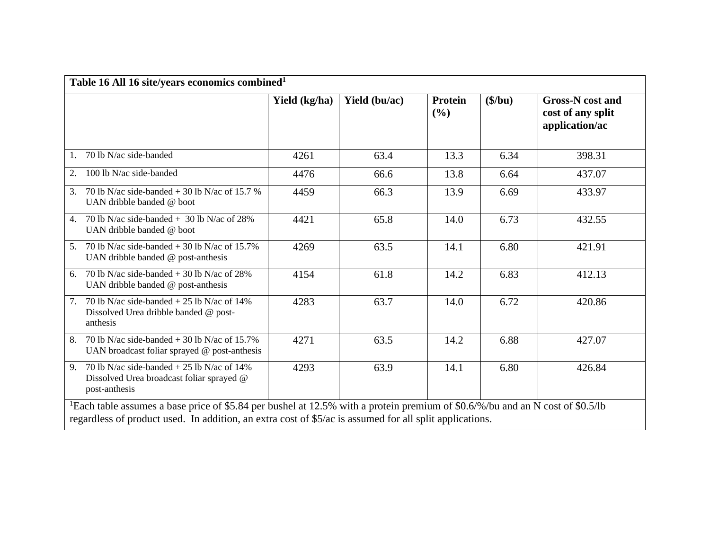| Table 16 All 16 site/years economics combined <sup>1</sup>                                                                                                                                                                                           |               |               |                       |           |                                                                |  |  |  |  |
|------------------------------------------------------------------------------------------------------------------------------------------------------------------------------------------------------------------------------------------------------|---------------|---------------|-----------------------|-----------|----------------------------------------------------------------|--|--|--|--|
|                                                                                                                                                                                                                                                      | Yield (kg/ha) | Yield (bu/ac) | <b>Protein</b><br>(%) | $(\$/bu)$ | <b>Gross-N</b> cost and<br>cost of any split<br>application/ac |  |  |  |  |
| 70 lb N/ac side-banded<br>1.                                                                                                                                                                                                                         | 4261          | 63.4          | 13.3                  | 6.34      | 398.31                                                         |  |  |  |  |
| 100 lb N/ac side-banded<br>2.                                                                                                                                                                                                                        | 4476          | 66.6          | 13.8                  | 6.64      | 437.07                                                         |  |  |  |  |
| 70 lb N/ac side-banded $+$ 30 lb N/ac of 15.7 %<br>3.<br>UAN dribble banded @ boot                                                                                                                                                                   | 4459          | 66.3          | 13.9                  | 6.69      | 433.97                                                         |  |  |  |  |
| 70 lb N/ac side-banded $+$ 30 lb N/ac of 28%<br>$\mathbf{4}$ .<br>UAN dribble banded @ boot                                                                                                                                                          | 4421          | 65.8          | 14.0                  | 6.73      | 432.55                                                         |  |  |  |  |
| 70 lb N/ac side-banded $+$ 30 lb N/ac of 15.7%<br>5.<br>UAN dribble banded @ post-anthesis                                                                                                                                                           | 4269          | 63.5          | 14.1                  | 6.80      | 421.91                                                         |  |  |  |  |
| 70 lb N/ac side-banded $+$ 30 lb N/ac of 28%<br>6.<br>UAN dribble banded @ post-anthesis                                                                                                                                                             | 4154          | 61.8          | 14.2                  | 6.83      | 412.13                                                         |  |  |  |  |
| 70 lb N/ac side-banded $+ 25$ lb N/ac of 14%<br>7.<br>Dissolved Urea dribble banded @ post-<br>anthesis                                                                                                                                              | 4283          | 63.7          | 14.0                  | 6.72      | 420.86                                                         |  |  |  |  |
| 70 lb N/ac side-banded $+30$ lb N/ac of 15.7%<br>8.<br>UAN broadcast foliar sprayed $@$ post-anthesis                                                                                                                                                | 4271          | 63.5          | 14.2                  | 6.88      | 427.07                                                         |  |  |  |  |
| 70 lb N/ac side-banded $+ 25$ lb N/ac of 14%<br>9.<br>Dissolved Urea broadcast foliar sprayed @<br>post-anthesis                                                                                                                                     | 4293          | 63.9          | 14.1                  | 6.80      | 426.84                                                         |  |  |  |  |
| <sup>1</sup> Each table assumes a base price of \$5.84 per bushel at 12.5% with a protein premium of \$0.6/%/bu and an N cost of \$0.5/lb<br>regardless of product used. In addition, an extra cost of \$5/ac is assumed for all split applications. |               |               |                       |           |                                                                |  |  |  |  |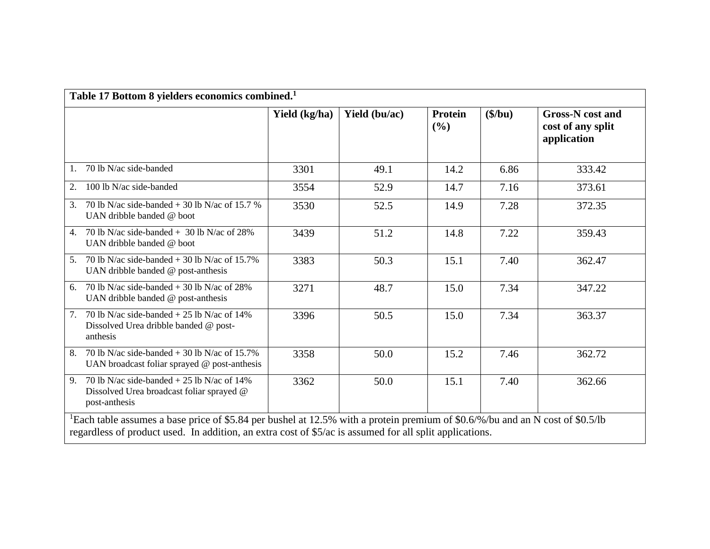|                                                                                                                  | Yield (kg/ha) | Yield (bu/ac) | <b>Protein</b><br>(%) | $(\$/bu)$ | <b>Gross-N</b> cost and<br>cost of any split<br>application |
|------------------------------------------------------------------------------------------------------------------|---------------|---------------|-----------------------|-----------|-------------------------------------------------------------|
| 70 lb N/ac side-banded<br>1.                                                                                     | 3301          | 49.1          | 14.2                  | 6.86      | 333.42                                                      |
| 100 lb N/ac side-banded<br>2.                                                                                    | 3554          | 52.9          | 14.7                  | 7.16      | 373.61                                                      |
| 70 lb N/ac side-banded $+$ 30 lb N/ac of 15.7 %<br>3.<br>UAN dribble banded @ boot                               | 3530          | 52.5          | 14.9                  | 7.28      | 372.35                                                      |
| 70 lb N/ac side-banded $+$ 30 lb N/ac of 28%<br>4.<br>UAN dribble banded @ boot                                  | 3439          | 51.2          | 14.8                  | 7.22      | 359.43                                                      |
| 70 lb N/ac side-banded $+$ 30 lb N/ac of 15.7%<br>5.<br>UAN dribble banded @ post-anthesis                       | 3383          | 50.3          | 15.1                  | 7.40      | 362.47                                                      |
| 70 lb N/ac side-banded $+$ 30 lb N/ac of 28%<br>6.<br>UAN dribble banded @ post-anthesis                         | 3271          | 48.7          | 15.0                  | 7.34      | 347.22                                                      |
| 70 lb N/ac side-banded $+ 25$ lb N/ac of 14%<br>7.<br>Dissolved Urea dribble banded @ post-<br>anthesis          | 3396          | 50.5          | 15.0                  | 7.34      | 363.37                                                      |
| 70 lb N/ac side-banded $+$ 30 lb N/ac of 15.7%<br>8.<br>UAN broadcast foliar sprayed @ post-anthesis             | 3358          | 50.0          | 15.2                  | 7.46      | 362.72                                                      |
| 70 lb N/ac side-banded $+ 25$ lb N/ac of 14%<br>9.<br>Dissolved Urea broadcast foliar sprayed @<br>post-anthesis | 3362          | 50.0          | 15.1                  | 7.40      | 362.66                                                      |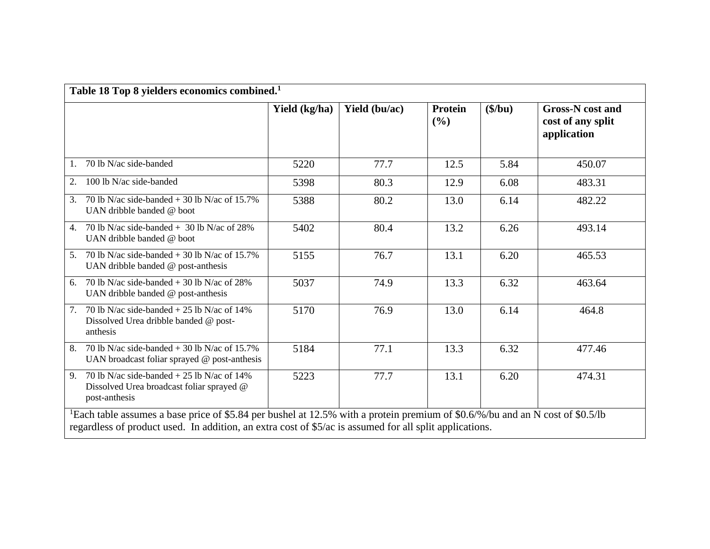|                                                                                                                  | Yield (kg/ha) | Yield (bu/ac) | <b>Protein</b><br>(%) | $(\$/bu)$ | <b>Gross-N</b> cost and<br>cost of any split<br>application |
|------------------------------------------------------------------------------------------------------------------|---------------|---------------|-----------------------|-----------|-------------------------------------------------------------|
| 70 lb N/ac side-banded<br>1.                                                                                     | 5220          | 77.7          | 12.5                  | 5.84      | 450.07                                                      |
| 100 lb N/ac side-banded<br>2.                                                                                    | 5398          | 80.3          | 12.9                  | 6.08      | 483.31                                                      |
| 70 lb N/ac side-banded $+$ 30 lb N/ac of 15.7%<br>3.<br>UAN dribble banded @ boot                                | 5388          | 80.2          | 13.0                  | 6.14      | 482.22                                                      |
| 70 lb N/ac side-banded $+30$ lb N/ac of 28%<br>$\overline{4}$ .<br>UAN dribble banded @ boot                     | 5402          | 80.4          | 13.2                  | 6.26      | 493.14                                                      |
| 70 lb N/ac side-banded $+$ 30 lb N/ac of 15.7%<br>5.<br>UAN dribble banded @ post-anthesis                       | 5155          | 76.7          | 13.1                  | 6.20      | 465.53                                                      |
| 70 lb N/ac side-banded $+$ 30 lb N/ac of 28%<br>6.<br>UAN dribble banded @ post-anthesis                         | 5037          | 74.9          | 13.3                  | 6.32      | 463.64                                                      |
| 70 lb N/ac side-banded $+ 25$ lb N/ac of 14%<br>7.<br>Dissolved Urea dribble banded @ post-<br>anthesis          | 5170          | 76.9          | 13.0                  | 6.14      | 464.8                                                       |
| 70 lb N/ac side-banded $+$ 30 lb N/ac of 15.7%<br>8.<br>UAN broadcast foliar sprayed @ post-anthesis             | 5184          | 77.1          | 13.3                  | 6.32      | 477.46                                                      |
| 70 lb N/ac side-banded $+ 25$ lb N/ac of 14%<br>9.<br>Dissolved Urea broadcast foliar sprayed @<br>post-anthesis | 5223          | 77.7          | 13.1                  | 6.20      | 474.31                                                      |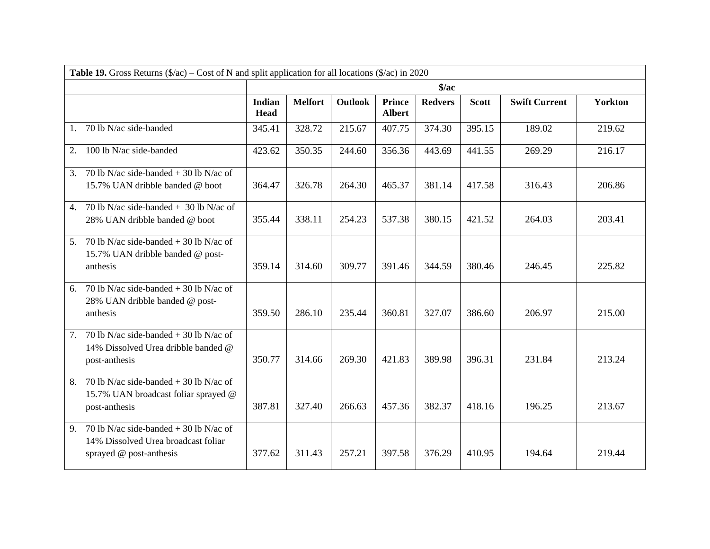| <b>Table 19.</b> Gross Returns $(\frac{6}{ac})$ – Cost of N and split application for all locations $(\frac{6}{ac})$ in 2020 |                       |                |                |                                |                |              |                      |                |  |  |
|------------------------------------------------------------------------------------------------------------------------------|-----------------------|----------------|----------------|--------------------------------|----------------|--------------|----------------------|----------------|--|--|
|                                                                                                                              | $\frac{1}{2}$         |                |                |                                |                |              |                      |                |  |  |
|                                                                                                                              | Indian<br><b>Head</b> | <b>Melfort</b> | <b>Outlook</b> | <b>Prince</b><br><b>Albert</b> | <b>Redvers</b> | <b>Scott</b> | <b>Swift Current</b> | <b>Yorkton</b> |  |  |
| 70 lb N/ac side-banded<br>1.                                                                                                 | 345.41                | 328.72         | 215.67         | 407.75                         | 374.30         | 395.15       | 189.02               | 219.62         |  |  |
| 100 lb N/ac side-banded<br>2.                                                                                                | 423.62                | 350.35         | 244.60         | 356.36                         | 443.69         | 441.55       | 269.29               | 216.17         |  |  |
| 70 lb N/ac side-banded $+$ 30 lb N/ac of<br>3.<br>15.7% UAN dribble banded @ boot                                            | 364.47                | 326.78         | 264.30         | 465.37                         | 381.14         | 417.58       | 316.43               | 206.86         |  |  |
| 70 lb N/ac side-banded $+$ 30 lb N/ac of<br>4.<br>28% UAN dribble banded @ boot                                              | 355.44                | 338.11         | 254.23         | 537.38                         | 380.15         | 421.52       | 264.03               | 203.41         |  |  |
| 70 lb N/ac side-banded $+$ 30 lb N/ac of<br>5.<br>15.7% UAN dribble banded @ post-<br>anthesis                               | 359.14                | 314.60         | 309.77         | 391.46                         | 344.59         | 380.46       | 246.45               | 225.82         |  |  |
| 70 lb N/ac side-banded $+$ 30 lb N/ac of<br>6.<br>28% UAN dribble banded @ post-<br>anthesis                                 | 359.50                | 286.10         | 235.44         | 360.81                         | 327.07         | 386.60       | 206.97               | 215.00         |  |  |
| $\overline{70}$ lb N/ac side-banded + 30 lb N/ac of<br>7.<br>14% Dissolved Urea dribble banded @<br>post-anthesis            | 350.77                | 314.66         | 269.30         | 421.83                         | 389.98         | 396.31       | 231.84               | 213.24         |  |  |
| 70 lb N/ac side-banded $+$ 30 lb N/ac of<br>8.<br>15.7% UAN broadcast foliar sprayed @<br>post-anthesis                      | 387.81                | 327.40         | 266.63         | 457.36                         | 382.37         | 418.16       | 196.25               | 213.67         |  |  |
| 70 lb N/ac side-banded $+$ 30 lb N/ac of<br>9.<br>14% Dissolved Urea broadcast foliar<br>sprayed @ post-anthesis             | 377.62                | 311.43         | 257.21         | 397.58                         | 376.29         | 410.95       | 194.64               | 219.44         |  |  |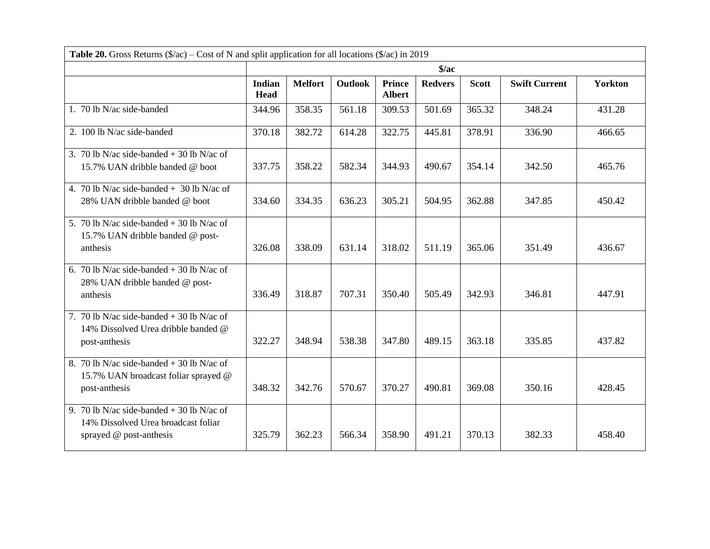| <b>Table 20.</b> Gross Returns $(\frac{6}{ac})$ – Cost of N and split application for all locations $(\frac{6}{ac})$ in 2019 |                              |                |                |                                |                |              |                      |                |  |
|------------------------------------------------------------------------------------------------------------------------------|------------------------------|----------------|----------------|--------------------------------|----------------|--------------|----------------------|----------------|--|
|                                                                                                                              | $\frac{1}{2}$                |                |                |                                |                |              |                      |                |  |
|                                                                                                                              | <b>Indian</b><br><b>Head</b> | <b>Melfort</b> | <b>Outlook</b> | <b>Prince</b><br><b>Albert</b> | <b>Redvers</b> | <b>Scott</b> | <b>Swift Current</b> | <b>Yorkton</b> |  |
| 1. 70 lb N/ac side-banded                                                                                                    | 344.96                       | 358.35         | 561.18         | 309.53                         | 501.69         | 365.32       | 348.24               | 431.28         |  |
| 2. 100 lb N/ac side-banded                                                                                                   | 370.18                       | 382.72         | 614.28         | 322.75                         | 445.81         | 378.91       | 336.90               | 466.65         |  |
| 3. 70 lb N/ac side-banded $+$ 30 lb N/ac of<br>15.7% UAN dribble banded @ boot                                               | 337.75                       | 358.22         | 582.34         | 344.93                         | 490.67         | 354.14       | 342.50               | 465.76         |  |
| 4. 70 lb N/ac side-banded $+$ 30 lb N/ac of<br>28% UAN dribble banded @ boot                                                 | 334.60                       | 334.35         | 636.23         | 305.21                         | 504.95         | 362.88       | 347.85               | 450.42         |  |
| 5. 70 lb N/ac side-banded $+$ 30 lb N/ac of<br>15.7% UAN dribble banded @ post-<br>anthesis                                  | 326.08                       | 338.09         | 631.14         | 318.02                         | 511.19         | 365.06       | 351.49               | 436.67         |  |
| 6. 70 lb N/ac side-banded $+$ 30 lb N/ac of<br>28% UAN dribble banded @ post-<br>anthesis                                    | 336.49                       | 318.87         | 707.31         | 350.40                         | 505.49         | 342.93       | 346.81               | 447.91         |  |
| 7. 70 lb N/ac side-banded $+$ 30 lb N/ac of<br>14% Dissolved Urea dribble banded @<br>post-anthesis                          | 322.27                       | 348.94         | 538.38         | 347.80                         | 489.15         | 363.18       | 335.85               | 437.82         |  |
| 8. 70 lb N/ac side-banded $+$ 30 lb N/ac of<br>15.7% UAN broadcast foliar sprayed @<br>post-anthesis                         | 348.32                       | 342.76         | 570.67         | 370.27                         | 490.81         | 369.08       | 350.16               | 428.45         |  |
| 9. 70 lb N/ac side-banded + 30 lb N/ac of<br>14% Dissolved Urea broadcast foliar<br>sprayed @ post-anthesis                  | 325.79                       | 362.23         | 566.34         | 358.90                         | 491.21         | 370.13       | 382.33               | 458.40         |  |